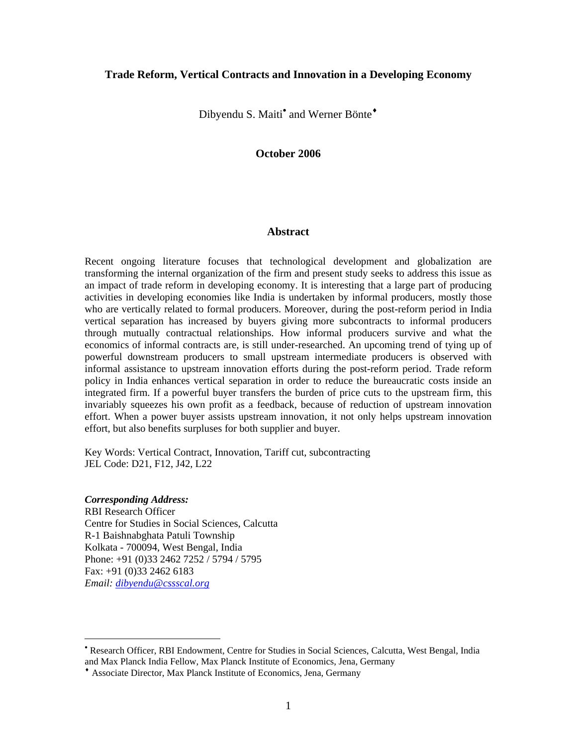### **Trade Reform, Vertical Contracts and Innovation in a Developing Economy**

Dibyendu S. Maiti<sup>•</sup> and Werner Bönte<sup>+</sup>

### **October 2006**

#### **Abstract**

Recent ongoing literature focuses that technological development and globalization are transforming the internal organization of the firm and present study seeks to address this issue as an impact of trade reform in developing economy. It is interesting that a large part of producing activities in developing economies like India is undertaken by informal producers, mostly those who are vertically related to formal producers. Moreover, during the post-reform period in India vertical separation has increased by buyers giving more subcontracts to informal producers through mutually contractual relationships. How informal producers survive and what the economics of informal contracts are, is still under-researched. An upcoming trend of tying up of powerful downstream producers to small upstream intermediate producers is observed with informal assistance to upstream innovation efforts during the post-reform period. Trade reform policy in India enhances vertical separation in order to reduce the bureaucratic costs inside an integrated firm. If a powerful buyer transfers the burden of price cuts to the upstream firm, this invariably squeezes his own profit as a feedback, because of reduction of upstream innovation effort. When a power buyer assists upstream innovation, it not only helps upstream innovation effort, but also benefits surpluses for both supplier and buyer.

Key Words: Vertical Contract, Innovation, Tariff cut, subcontracting JEL Code: D21, F12, J42, L22

#### *Corresponding Address:*

 $\overline{a}$ 

RBI Research Officer Centre for Studies in Social Sciences, Calcutta R-1 Baishnabghata Patuli Township Kolkata - 700094, West Bengal, India Phone: +91 (0)33 2462 7252 / 5794 / 5795 Fax: +91 (0)33 2462 6183 *Email: dibyendu@cssscal.org*

<sup>•</sup> Research Officer, RBI Endowment, Centre for Studies in Social Sciences, Calcutta, West Bengal, India and Max Planck India Fellow, Max Planck Institute of Economics, Jena, Germany

<sup>♦</sup> Associate Director, Max Planck Institute of Economics, Jena, Germany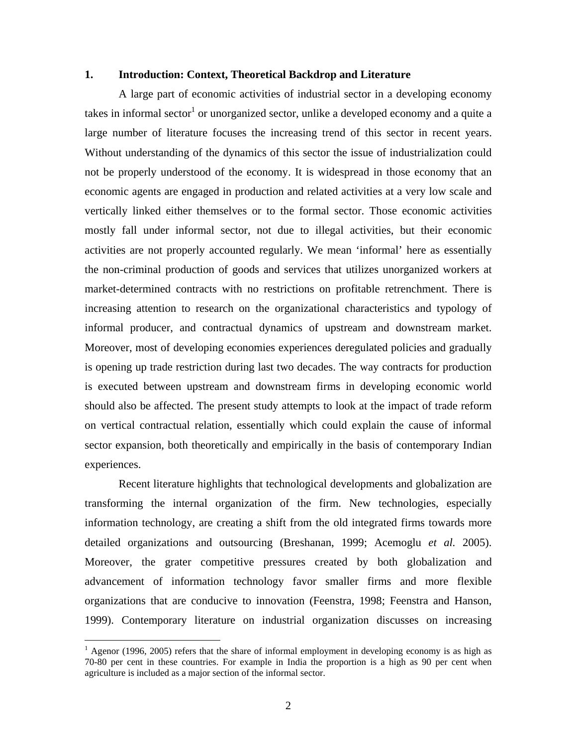### **1. Introduction: Context, Theoretical Backdrop and Literature**

A large part of economic activities of industrial sector in a developing economy takes in informal sector<sup>1</sup> or unorganized sector, unlike a developed economy and a quite a large number of literature focuses the increasing trend of this sector in recent years. Without understanding of the dynamics of this sector the issue of industrialization could not be properly understood of the economy. It is widespread in those economy that an economic agents are engaged in production and related activities at a very low scale and vertically linked either themselves or to the formal sector. Those economic activities mostly fall under informal sector, not due to illegal activities, but their economic activities are not properly accounted regularly. We mean 'informal' here as essentially the non-criminal production of goods and services that utilizes unorganized workers at market-determined contracts with no restrictions on profitable retrenchment. There is increasing attention to research on the organizational characteristics and typology of informal producer, and contractual dynamics of upstream and downstream market. Moreover, most of developing economies experiences deregulated policies and gradually is opening up trade restriction during last two decades. The way contracts for production is executed between upstream and downstream firms in developing economic world should also be affected. The present study attempts to look at the impact of trade reform on vertical contractual relation, essentially which could explain the cause of informal sector expansion, both theoretically and empirically in the basis of contemporary Indian experiences.

Recent literature highlights that technological developments and globalization are transforming the internal organization of the firm. New technologies, especially information technology, are creating a shift from the old integrated firms towards more detailed organizations and outsourcing (Breshanan, 1999; Acemoglu *et al.* 2005). Moreover, the grater competitive pressures created by both globalization and advancement of information technology favor smaller firms and more flexible organizations that are conducive to innovation (Feenstra, 1998; Feenstra and Hanson, 1999). Contemporary literature on industrial organization discusses on increasing

 $\overline{a}$ 

 $1$  Agenor (1996, 2005) refers that the share of informal employment in developing economy is as high as 70-80 per cent in these countries. For example in India the proportion is a high as 90 per cent when agriculture is included as a major section of the informal sector.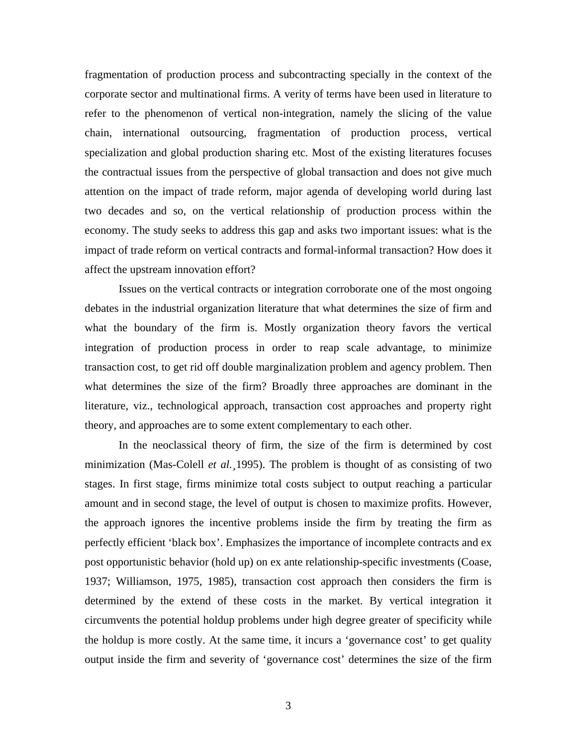fragmentation of production process and subcontracting specially in the context of the corporate sector and multinational firms. A verity of terms have been used in literature to refer to the phenomenon of vertical non-integration, namely the slicing of the value chain, international outsourcing, fragmentation of production process, vertical specialization and global production sharing etc. Most of the existing literatures focuses the contractual issues from the perspective of global transaction and does not give much attention on the impact of trade reform, major agenda of developing world during last two decades and so, on the vertical relationship of production process within the economy. The study seeks to address this gap and asks two important issues: what is the impact of trade reform on vertical contracts and formal-informal transaction? How does it affect the upstream innovation effort?

Issues on the vertical contracts or integration corroborate one of the most ongoing debates in the industrial organization literature that what determines the size of firm and what the boundary of the firm is. Mostly organization theory favors the vertical integration of production process in order to reap scale advantage, to minimize transaction cost, to get rid off double marginalization problem and agency problem. Then what determines the size of the firm? Broadly three approaches are dominant in the literature, viz., technological approach, transaction cost approaches and property right theory, and approaches are to some extent complementary to each other.

In the neoclassical theory of firm, the size of the firm is determined by cost minimization (Mas-Colell *et al.¸*1995). The problem is thought of as consisting of two stages. In first stage, firms minimize total costs subject to output reaching a particular amount and in second stage, the level of output is chosen to maximize profits. However, the approach ignores the incentive problems inside the firm by treating the firm as perfectly efficient 'black box'. Emphasizes the importance of incomplete contracts and ex post opportunistic behavior (hold up) on ex ante relationship-specific investments (Coase, 1937; Williamson, 1975, 1985), transaction cost approach then considers the firm is determined by the extend of these costs in the market. By vertical integration it circumvents the potential holdup problems under high degree greater of specificity while the holdup is more costly. At the same time, it incurs a 'governance cost' to get quality output inside the firm and severity of 'governance cost' determines the size of the firm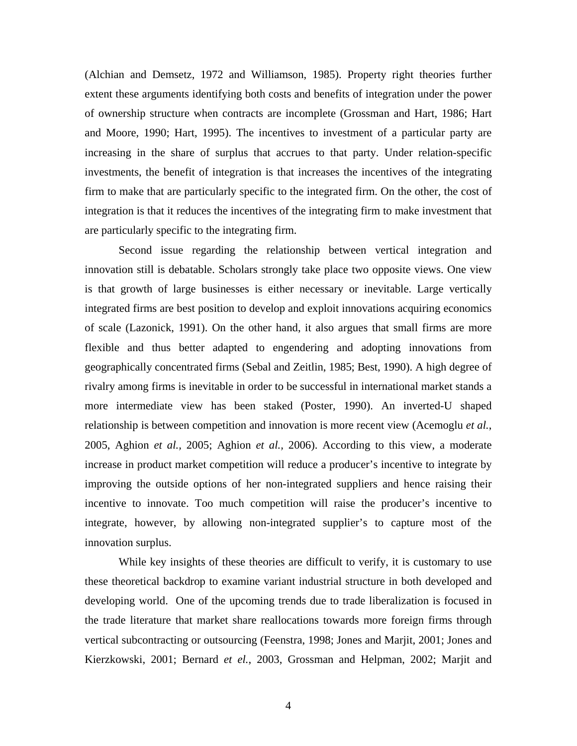(Alchian and Demsetz, 1972 and Williamson, 1985). Property right theories further extent these arguments identifying both costs and benefits of integration under the power of ownership structure when contracts are incomplete (Grossman and Hart, 1986; Hart and Moore, 1990; Hart, 1995). The incentives to investment of a particular party are increasing in the share of surplus that accrues to that party. Under relation-specific investments, the benefit of integration is that increases the incentives of the integrating firm to make that are particularly specific to the integrated firm. On the other, the cost of integration is that it reduces the incentives of the integrating firm to make investment that are particularly specific to the integrating firm.

Second issue regarding the relationship between vertical integration and innovation still is debatable. Scholars strongly take place two opposite views. One view is that growth of large businesses is either necessary or inevitable. Large vertically integrated firms are best position to develop and exploit innovations acquiring economics of scale (Lazonick, 1991). On the other hand, it also argues that small firms are more flexible and thus better adapted to engendering and adopting innovations from geographically concentrated firms (Sebal and Zeitlin, 1985; Best, 1990). A high degree of rivalry among firms is inevitable in order to be successful in international market stands a more intermediate view has been staked (Poster, 1990). An inverted-U shaped relationship is between competition and innovation is more recent view (Acemoglu *et al.*, 2005, Aghion *et al.,* 2005; Aghion *et al.,* 2006). According to this view, a moderate increase in product market competition will reduce a producer's incentive to integrate by improving the outside options of her non-integrated suppliers and hence raising their incentive to innovate. Too much competition will raise the producer's incentive to integrate, however, by allowing non-integrated supplier's to capture most of the innovation surplus.

While key insights of these theories are difficult to verify, it is customary to use these theoretical backdrop to examine variant industrial structure in both developed and developing world. One of the upcoming trends due to trade liberalization is focused in the trade literature that market share reallocations towards more foreign firms through vertical subcontracting or outsourcing (Feenstra, 1998; Jones and Marjit, 2001; Jones and Kierzkowski, 2001; Bernard *et el.*, 2003, Grossman and Helpman, 2002; Marjit and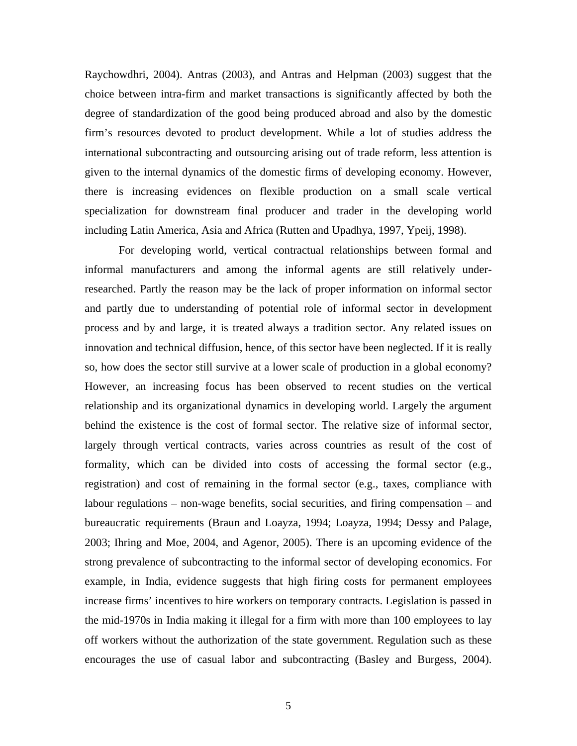Raychowdhri, 2004). Antras (2003), and Antras and Helpman (2003) suggest that the choice between intra-firm and market transactions is significantly affected by both the degree of standardization of the good being produced abroad and also by the domestic firm's resources devoted to product development. While a lot of studies address the international subcontracting and outsourcing arising out of trade reform, less attention is given to the internal dynamics of the domestic firms of developing economy. However, there is increasing evidences on flexible production on a small scale vertical specialization for downstream final producer and trader in the developing world including Latin America, Asia and Africa (Rutten and Upadhya, 1997, Ypeij, 1998).

For developing world, vertical contractual relationships between formal and informal manufacturers and among the informal agents are still relatively underresearched. Partly the reason may be the lack of proper information on informal sector and partly due to understanding of potential role of informal sector in development process and by and large, it is treated always a tradition sector. Any related issues on innovation and technical diffusion, hence, of this sector have been neglected. If it is really so, how does the sector still survive at a lower scale of production in a global economy? However, an increasing focus has been observed to recent studies on the vertical relationship and its organizational dynamics in developing world. Largely the argument behind the existence is the cost of formal sector. The relative size of informal sector, largely through vertical contracts, varies across countries as result of the cost of formality, which can be divided into costs of accessing the formal sector (e.g., registration) and cost of remaining in the formal sector (e.g., taxes, compliance with labour regulations – non-wage benefits, social securities, and firing compensation – and bureaucratic requirements (Braun and Loayza, 1994; Loayza, 1994; Dessy and Palage, 2003; Ihring and Moe, 2004, and Agenor, 2005). There is an upcoming evidence of the strong prevalence of subcontracting to the informal sector of developing economics. For example, in India, evidence suggests that high firing costs for permanent employees increase firms' incentives to hire workers on temporary contracts. Legislation is passed in the mid-1970s in India making it illegal for a firm with more than 100 employees to lay off workers without the authorization of the state government. Regulation such as these encourages the use of casual labor and subcontracting (Basley and Burgess, 2004).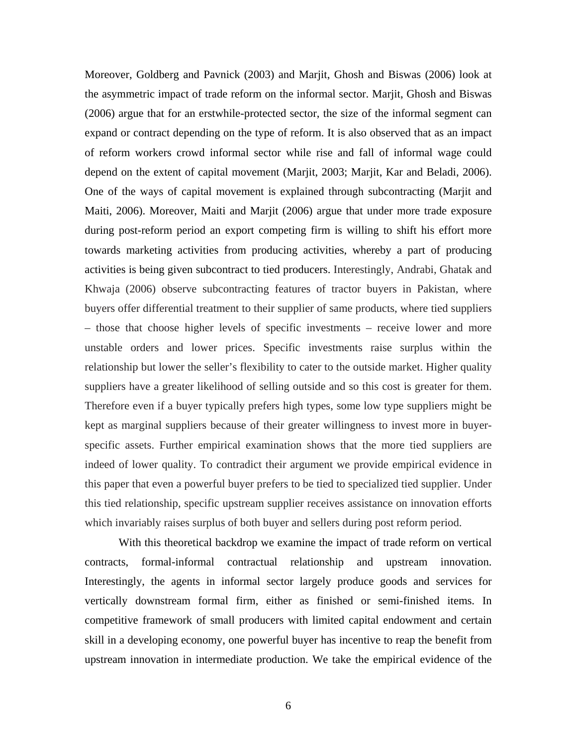Moreover, Goldberg and Pavnick (2003) and Marjit, Ghosh and Biswas (2006) look at the asymmetric impact of trade reform on the informal sector. Marjit, Ghosh and Biswas (2006) argue that for an erstwhile-protected sector, the size of the informal segment can expand or contract depending on the type of reform. It is also observed that as an impact of reform workers crowd informal sector while rise and fall of informal wage could depend on the extent of capital movement (Marjit, 2003; Marjit, Kar and Beladi, 2006). One of the ways of capital movement is explained through subcontracting (Marjit and Maiti, 2006). Moreover, Maiti and Marjit (2006) argue that under more trade exposure during post-reform period an export competing firm is willing to shift his effort more towards marketing activities from producing activities, whereby a part of producing activities is being given subcontract to tied producers. Interestingly, Andrabi, Ghatak and Khwaja (2006) observe subcontracting features of tractor buyers in Pakistan, where buyers offer differential treatment to their supplier of same products, where tied suppliers – those that choose higher levels of specific investments – receive lower and more unstable orders and lower prices. Specific investments raise surplus within the relationship but lower the seller's flexibility to cater to the outside market. Higher quality suppliers have a greater likelihood of selling outside and so this cost is greater for them. Therefore even if a buyer typically prefers high types, some low type suppliers might be kept as marginal suppliers because of their greater willingness to invest more in buyerspecific assets. Further empirical examination shows that the more tied suppliers are indeed of lower quality. To contradict their argument we provide empirical evidence in this paper that even a powerful buyer prefers to be tied to specialized tied supplier. Under this tied relationship, specific upstream supplier receives assistance on innovation efforts which invariably raises surplus of both buyer and sellers during post reform period.

With this theoretical backdrop we examine the impact of trade reform on vertical contracts, formal-informal contractual relationship and upstream innovation. Interestingly, the agents in informal sector largely produce goods and services for vertically downstream formal firm, either as finished or semi-finished items. In competitive framework of small producers with limited capital endowment and certain skill in a developing economy, one powerful buyer has incentive to reap the benefit from upstream innovation in intermediate production. We take the empirical evidence of the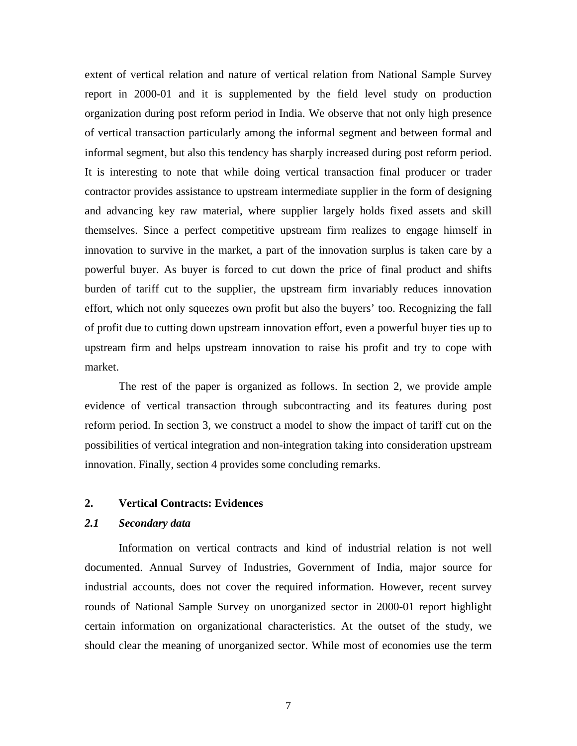extent of vertical relation and nature of vertical relation from National Sample Survey report in 2000-01 and it is supplemented by the field level study on production organization during post reform period in India. We observe that not only high presence of vertical transaction particularly among the informal segment and between formal and informal segment, but also this tendency has sharply increased during post reform period. It is interesting to note that while doing vertical transaction final producer or trader contractor provides assistance to upstream intermediate supplier in the form of designing and advancing key raw material, where supplier largely holds fixed assets and skill themselves. Since a perfect competitive upstream firm realizes to engage himself in innovation to survive in the market, a part of the innovation surplus is taken care by a powerful buyer. As buyer is forced to cut down the price of final product and shifts burden of tariff cut to the supplier, the upstream firm invariably reduces innovation effort, which not only squeezes own profit but also the buyers' too. Recognizing the fall of profit due to cutting down upstream innovation effort, even a powerful buyer ties up to upstream firm and helps upstream innovation to raise his profit and try to cope with market.

The rest of the paper is organized as follows. In section 2, we provide ample evidence of vertical transaction through subcontracting and its features during post reform period. In section 3, we construct a model to show the impact of tariff cut on the possibilities of vertical integration and non-integration taking into consideration upstream innovation. Finally, section 4 provides some concluding remarks.

### **2. Vertical Contracts: Evidences**

### *2.1 Secondary data*

Information on vertical contracts and kind of industrial relation is not well documented. Annual Survey of Industries, Government of India, major source for industrial accounts, does not cover the required information. However, recent survey rounds of National Sample Survey on unorganized sector in 2000-01 report highlight certain information on organizational characteristics. At the outset of the study, we should clear the meaning of unorganized sector. While most of economies use the term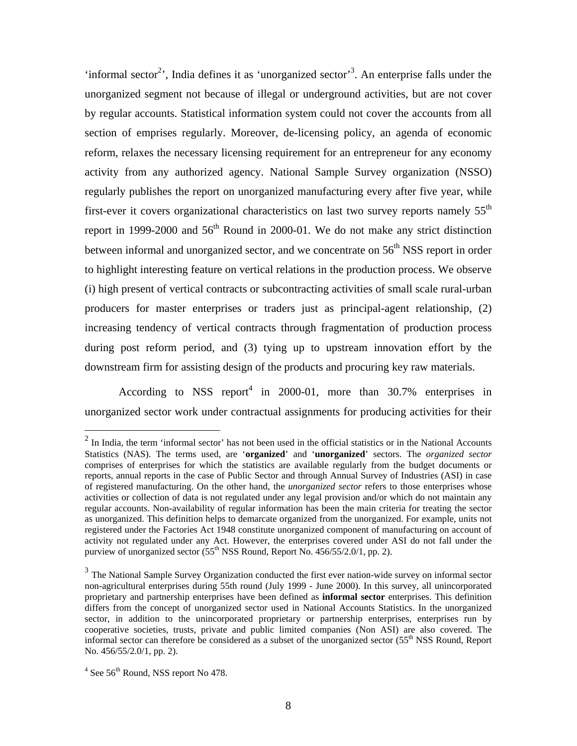'informal sector<sup>2</sup>', India defines it as 'unorganized sector'<sup>3</sup>. An enterprise falls under the unorganized segment not because of illegal or underground activities, but are not cover by regular accounts. Statistical information system could not cover the accounts from all section of emprises regularly. Moreover, de-licensing policy, an agenda of economic reform, relaxes the necessary licensing requirement for an entrepreneur for any economy activity from any authorized agency. National Sample Survey organization (NSSO) regularly publishes the report on unorganized manufacturing every after five year, while first-ever it covers organizational characteristics on last two survey reports namely  $55<sup>th</sup>$ report in 1999-2000 and  $56<sup>th</sup>$  Round in 2000-01. We do not make any strict distinction between informal and unorganized sector, and we concentrate on  $56<sup>th</sup> NSS$  report in order to highlight interesting feature on vertical relations in the production process. We observe (i) high present of vertical contracts or subcontracting activities of small scale rural-urban producers for master enterprises or traders just as principal-agent relationship, (2) increasing tendency of vertical contracts through fragmentation of production process during post reform period, and (3) tying up to upstream innovation effort by the downstream firm for assisting design of the products and procuring key raw materials.

According to NSS report<sup>4</sup> in 2000-01, more than 30.7% enterprises in unorganized sector work under contractual assignments for producing activities for their

<u>.</u>

 $2$  In India, the term 'informal sector' has not been used in the official statistics or in the National Accounts Statistics (NAS). The terms used, are '**organized**' and '**unorganized**' sectors. The *organized sector*  comprises of enterprises for which the statistics are available regularly from the budget documents or reports, annual reports in the case of Public Sector and through Annual Survey of Industries (ASI) in case of registered manufacturing. On the other hand, the *unorganized sector* refers to those enterprises whose activities or collection of data is not regulated under any legal provision and/or which do not maintain any regular accounts. Non-availability of regular information has been the main criteria for treating the sector as unorganized. This definition helps to demarcate organized from the unorganized. For example, units not registered under the Factories Act 1948 constitute unorganized component of manufacturing on account of activity not regulated under any Act. However, the enterprises covered under ASI do not fall under the purview of unorganized sector  $(55<sup>th</sup> NSS Round, Report No. 456/55/2.0/1, pp. 2)$ .

<sup>&</sup>lt;sup>3</sup> The National Sample Survey Organization conducted the first ever nation-wide survey on informal sector non-agricultural enterprises during 55th round (July 1999 - June 2000). In this survey, all unincorporated proprietary and partnership enterprises have been defined as **informal sector** enterprises. This definition differs from the concept of unorganized sector used in National Accounts Statistics. In the unorganized sector, in addition to the unincorporated proprietary or partnership enterprises, enterprises run by cooperative societies, trusts, private and public limited companies (Non ASI) are also covered. The informal sector can therefore be considered as a subset of the unorganized sector  $(55<sup>th</sup> NSS$  Round, Report No. 456/55/2.0/1, pp. 2).

 $4$  See 56<sup>th</sup> Round, NSS report No 478.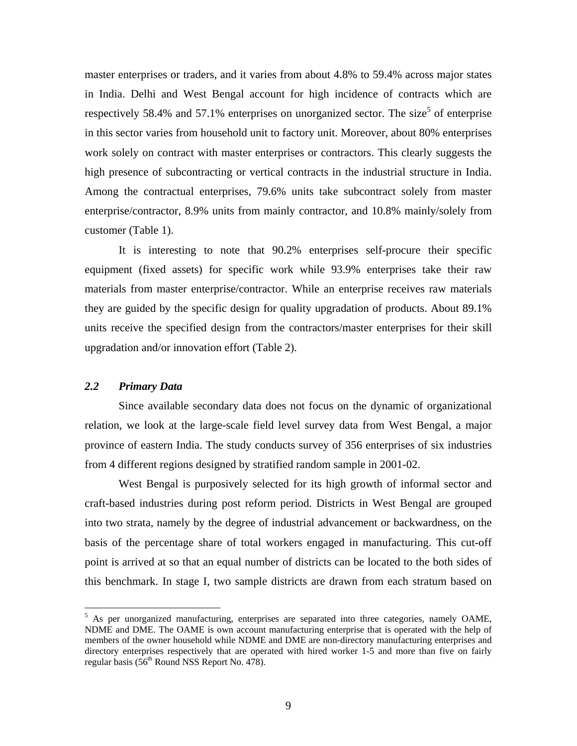master enterprises or traders, and it varies from about 4.8% to 59.4% across major states in India. Delhi and West Bengal account for high incidence of contracts which are respectively 58.4% and 57.1% enterprises on unorganized sector. The size<sup>5</sup> of enterprise in this sector varies from household unit to factory unit. Moreover, about 80% enterprises work solely on contract with master enterprises or contractors. This clearly suggests the high presence of subcontracting or vertical contracts in the industrial structure in India. Among the contractual enterprises, 79.6% units take subcontract solely from master enterprise/contractor, 8.9% units from mainly contractor, and 10.8% mainly/solely from customer (Table 1).

It is interesting to note that 90.2% enterprises self-procure their specific equipment (fixed assets) for specific work while 93.9% enterprises take their raw materials from master enterprise/contractor. While an enterprise receives raw materials they are guided by the specific design for quality upgradation of products. About 89.1% units receive the specified design from the contractors/master enterprises for their skill upgradation and/or innovation effort (Table 2).

### *2.2 Primary Data*

 $\overline{a}$ 

Since available secondary data does not focus on the dynamic of organizational relation, we look at the large-scale field level survey data from West Bengal, a major province of eastern India. The study conducts survey of 356 enterprises of six industries from 4 different regions designed by stratified random sample in 2001-02.

West Bengal is purposively selected for its high growth of informal sector and craft-based industries during post reform period. Districts in West Bengal are grouped into two strata, namely by the degree of industrial advancement or backwardness, on the basis of the percentage share of total workers engaged in manufacturing. This cut-off point is arrived at so that an equal number of districts can be located to the both sides of this benchmark. In stage I, two sample districts are drawn from each stratum based on

<sup>&</sup>lt;sup>5</sup> As per unorganized manufacturing, enterprises are separated into three categories, namely OAME, NDME and DME. The OAME is own account manufacturing enterprise that is operated with the help of members of the owner household while NDME and DME are non-directory manufacturing enterprises and directory enterprises respectively that are operated with hired worker 1-5 and more than five on fairly regular basis ( $56<sup>th</sup>$  Round NSS Report No. 478).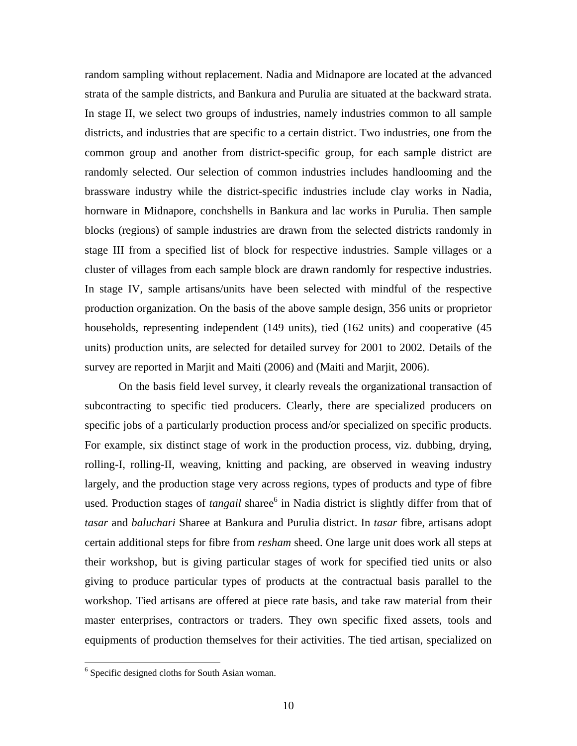random sampling without replacement. Nadia and Midnapore are located at the advanced strata of the sample districts, and Bankura and Purulia are situated at the backward strata. In stage II, we select two groups of industries, namely industries common to all sample districts, and industries that are specific to a certain district. Two industries, one from the common group and another from district-specific group, for each sample district are randomly selected. Our selection of common industries includes handlooming and the brassware industry while the district-specific industries include clay works in Nadia, hornware in Midnapore, conchshells in Bankura and lac works in Purulia. Then sample blocks (regions) of sample industries are drawn from the selected districts randomly in stage III from a specified list of block for respective industries. Sample villages or a cluster of villages from each sample block are drawn randomly for respective industries. In stage IV, sample artisans/units have been selected with mindful of the respective production organization. On the basis of the above sample design, 356 units or proprietor households, representing independent (149 units), tied (162 units) and cooperative (45 units) production units, are selected for detailed survey for 2001 to 2002. Details of the survey are reported in Marjit and Maiti (2006) and (Maiti and Marjit, 2006).

On the basis field level survey, it clearly reveals the organizational transaction of subcontracting to specific tied producers. Clearly, there are specialized producers on specific jobs of a particularly production process and/or specialized on specific products. For example, six distinct stage of work in the production process, viz. dubbing, drying, rolling-I, rolling-II, weaving, knitting and packing, are observed in weaving industry largely, and the production stage very across regions, types of products and type of fibre used. Production stages of *tangail* sharee<sup>6</sup> in Nadia district is slightly differ from that of *tasar* and *baluchari* Sharee at Bankura and Purulia district. In *tasar* fibre, artisans adopt certain additional steps for fibre from *resham* sheed. One large unit does work all steps at their workshop, but is giving particular stages of work for specified tied units or also giving to produce particular types of products at the contractual basis parallel to the workshop. Tied artisans are offered at piece rate basis, and take raw material from their master enterprises, contractors or traders. They own specific fixed assets, tools and equipments of production themselves for their activities. The tied artisan, specialized on

 $\overline{a}$ 

<sup>&</sup>lt;sup>6</sup> Specific designed cloths for South Asian woman.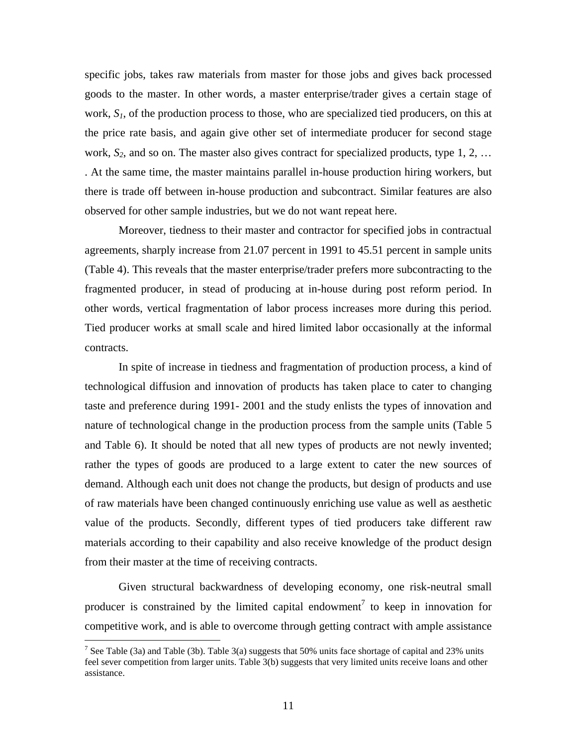specific jobs, takes raw materials from master for those jobs and gives back processed goods to the master. In other words, a master enterprise/trader gives a certain stage of work,  $S<sub>1</sub>$ , of the production process to those, who are specialized tied producers, on this at the price rate basis, and again give other set of intermediate producer for second stage work,  $S_2$ , and so on. The master also gives contract for specialized products, type  $1, 2, \ldots$ . At the same time, the master maintains parallel in-house production hiring workers, but there is trade off between in-house production and subcontract. Similar features are also observed for other sample industries, but we do not want repeat here.

Moreover, tiedness to their master and contractor for specified jobs in contractual agreements, sharply increase from 21.07 percent in 1991 to 45.51 percent in sample units (Table 4). This reveals that the master enterprise/trader prefers more subcontracting to the fragmented producer, in stead of producing at in-house during post reform period. In other words, vertical fragmentation of labor process increases more during this period. Tied producer works at small scale and hired limited labor occasionally at the informal contracts.

In spite of increase in tiedness and fragmentation of production process, a kind of technological diffusion and innovation of products has taken place to cater to changing taste and preference during 1991- 2001 and the study enlists the types of innovation and nature of technological change in the production process from the sample units (Table 5 and Table 6). It should be noted that all new types of products are not newly invented; rather the types of goods are produced to a large extent to cater the new sources of demand. Although each unit does not change the products, but design of products and use of raw materials have been changed continuously enriching use value as well as aesthetic value of the products. Secondly, different types of tied producers take different raw materials according to their capability and also receive knowledge of the product design from their master at the time of receiving contracts.

Given structural backwardness of developing economy, one risk-neutral small producer is constrained by the limited capital endowment<sup>7</sup> to keep in innovation for competitive work, and is able to overcome through getting contract with ample assistance

 $\overline{a}$ 

<sup>&</sup>lt;sup>7</sup> See Table (3a) and Table (3b). Table 3(a) suggests that 50% units face shortage of capital and 23% units feel sever competition from larger units. Table 3(b) suggests that very limited units receive loans and other assistance.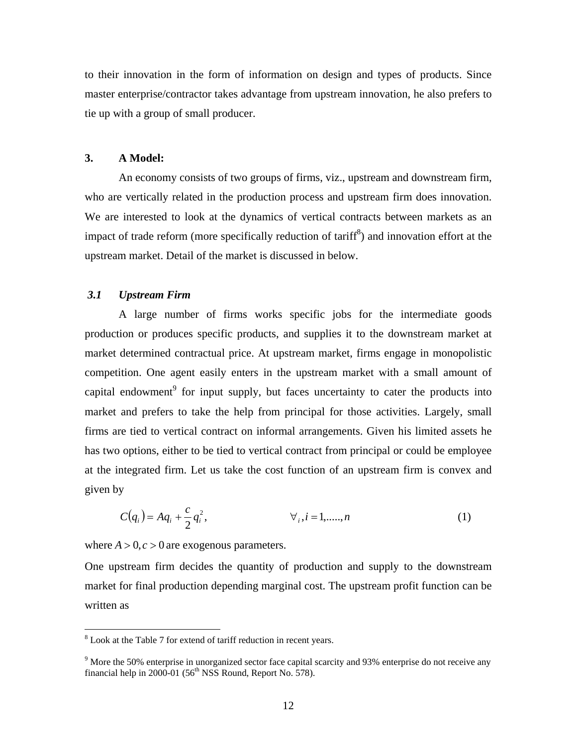to their innovation in the form of information on design and types of products. Since master enterprise/contractor takes advantage from upstream innovation, he also prefers to tie up with a group of small producer.

### **3. A Model:**

An economy consists of two groups of firms, viz., upstream and downstream firm, who are vertically related in the production process and upstream firm does innovation. We are interested to look at the dynamics of vertical contracts between markets as an impact of trade reform (more specifically reduction of  $\text{tariff}^8$ ) and innovation effort at the upstream market. Detail of the market is discussed in below.

### *3.1 Upstream Firm*

A large number of firms works specific jobs for the intermediate goods production or produces specific products, and supplies it to the downstream market at market determined contractual price. At upstream market, firms engage in monopolistic competition. One agent easily enters in the upstream market with a small amount of capital endowment<sup>9</sup> for input supply, but faces uncertainty to cater the products into market and prefers to take the help from principal for those activities. Largely, small firms are tied to vertical contract on informal arrangements. Given his limited assets he has two options, either to be tied to vertical contract from principal or could be employee at the integrated firm. Let us take the cost function of an upstream firm is convex and given by

$$
C(q_i) = Aq_i + \frac{c}{2}q_i^2, \qquad \forall_i, i = 1, \dots, n
$$
 (1)

where  $A > 0, c > 0$  are exogenous parameters.

One upstream firm decides the quantity of production and supply to the downstream market for final production depending marginal cost. The upstream profit function can be written as

<sup>&</sup>lt;sup>8</sup> Look at the Table 7 for extend of tariff reduction in recent years.

<sup>&</sup>lt;sup>9</sup> More the 50% enterprise in unorganized sector face capital scarcity and 93% enterprise do not receive any financial help in 2000-01 ( $56<sup>th</sup>$  NSS Round, Report No. 578).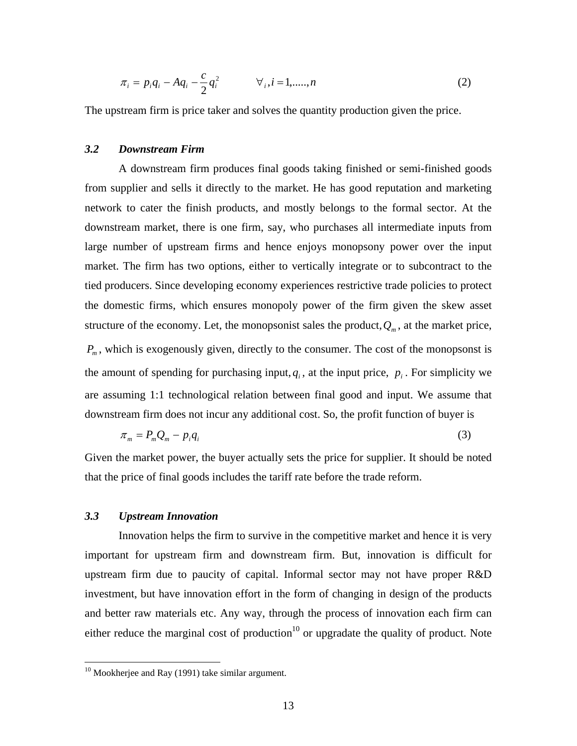$$
\pi_i = p_i q_i - A q_i - \frac{c}{2} q_i^2 \qquad \forall_i, i = 1, \dots, n
$$
 (2)

The upstream firm is price taker and solves the quantity production given the price.

### *3.2 Downstream Firm*

A downstream firm produces final goods taking finished or semi-finished goods from supplier and sells it directly to the market. He has good reputation and marketing network to cater the finish products, and mostly belongs to the formal sector. At the downstream market, there is one firm, say, who purchases all intermediate inputs from large number of upstream firms and hence enjoys monopsony power over the input market. The firm has two options, either to vertically integrate or to subcontract to the tied producers. Since developing economy experiences restrictive trade policies to protect the domestic firms, which ensures monopoly power of the firm given the skew asset structure of the economy. Let, the monopsonist sales the product,  $Q_m$ , at the market price,  $P_m$ , which is exogenously given, directly to the consumer. The cost of the monopsonst is the amount of spending for purchasing input,  $q_i$ , at the input price,  $p_i$ . For simplicity we are assuming 1:1 technological relation between final good and input. We assume that downstream firm does not incur any additional cost. So, the profit function of buyer is

$$
\pi_m = P_m Q_m - p_i q_i \tag{3}
$$

Given the market power, the buyer actually sets the price for supplier. It should be noted that the price of final goods includes the tariff rate before the trade reform.

### *3.3 Upstream Innovation*

<u>.</u>

Innovation helps the firm to survive in the competitive market and hence it is very important for upstream firm and downstream firm. But, innovation is difficult for upstream firm due to paucity of capital. Informal sector may not have proper R&D investment, but have innovation effort in the form of changing in design of the products and better raw materials etc. Any way, through the process of innovation each firm can either reduce the marginal cost of production<sup>10</sup> or upgradate the quality of product. Note

 $10$  Mookherjee and Ray (1991) take similar argument.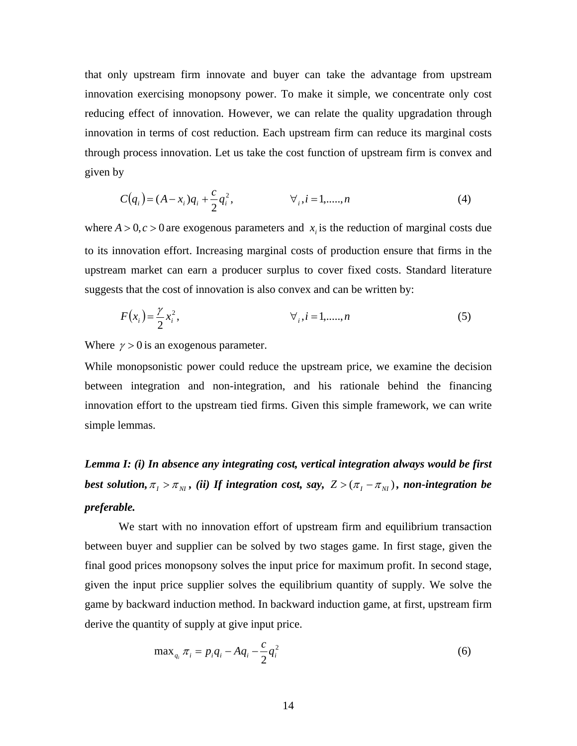that only upstream firm innovate and buyer can take the advantage from upstream innovation exercising monopsony power. To make it simple, we concentrate only cost reducing effect of innovation. However, we can relate the quality upgradation through innovation in terms of cost reduction. Each upstream firm can reduce its marginal costs through process innovation. Let us take the cost function of upstream firm is convex and given by

$$
C(q_i) = (A - x_i)q_i + \frac{c}{2}q_i^2, \qquad \forall_i, i = 1, \dots, n
$$
 (4)

where  $A > 0$ ,  $c > 0$  are exogenous parameters and  $x_i$  is the reduction of marginal costs due to its innovation effort. Increasing marginal costs of production ensure that firms in the upstream market can earn a producer surplus to cover fixed costs. Standard literature suggests that the cost of innovation is also convex and can be written by:

$$
F(x_i) = \frac{\gamma}{2} x_i^2,
$$
  $\forall i, i = 1, \dots, n$  (5)

Where  $\gamma > 0$  is an exogenous parameter.

While monopsonistic power could reduce the upstream price, we examine the decision between integration and non-integration, and his rationale behind the financing innovation effort to the upstream tied firms. Given this simple framework, we can write simple lemmas.

*Lemma I: (i) In absence any integrating cost, vertical integration always would be first best solution,*  $\pi_{I} > \pi_{NI}$ *, (ii) If integration cost, say,*  $Z > (\pi_{I} - \pi_{NI})$ *, non-integration be preferable.* 

We start with no innovation effort of upstream firm and equilibrium transaction between buyer and supplier can be solved by two stages game. In first stage, given the final good prices monopsony solves the input price for maximum profit. In second stage, given the input price supplier solves the equilibrium quantity of supply. We solve the game by backward induction method. In backward induction game, at first, upstream firm derive the quantity of supply at give input price.

$$
\max_{q_i} \pi_i = p_i q_i - A q_i - \frac{c}{2} q_i^2 \tag{6}
$$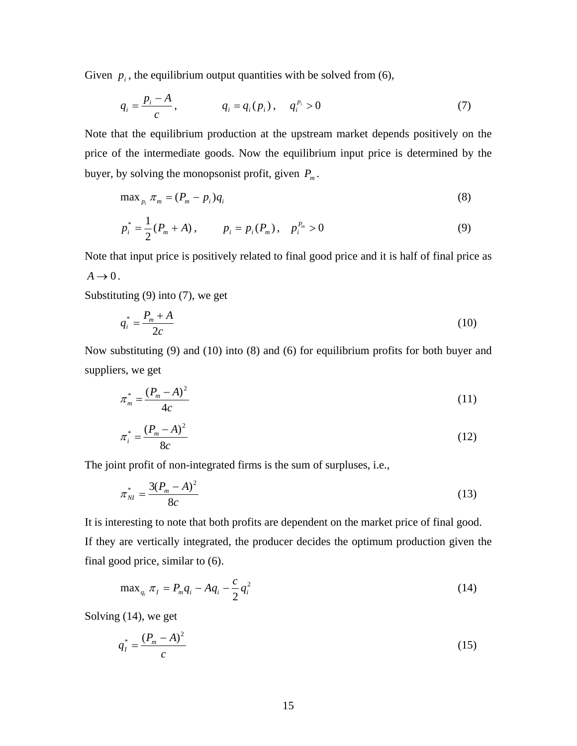Given  $p_i$ , the equilibrium output quantities with be solved from  $(6)$ ,

$$
q_i = \frac{p_i - A}{c}, \qquad q_i = q_i(p_i), \quad q_i^{p_i} > 0 \tag{7}
$$

Note that the equilibrium production at the upstream market depends positively on the price of the intermediate goods. Now the equilibrium input price is determined by the buyer, by solving the monopsonist profit, given  $P_m$ .

$$
\max_{p_i} \pi_m = (P_m - p_i)q_i \tag{8}
$$

$$
p_i^* = \frac{1}{2}(P_m + A), \qquad p_i = p_i(P_m), \quad p_i^{P_m} > 0 \tag{9}
$$

Note that input price is positively related to final good price and it is half of final price as  $A \rightarrow 0$ .

Substituting (9) into (7), we get

$$
q_i^* = \frac{P_m + A}{2c} \tag{10}
$$

Now substituting (9) and (10) into (8) and (6) for equilibrium profits for both buyer and suppliers, we get

$$
\pi_m^* = \frac{(P_m - A)^2}{4c} \tag{11}
$$

$$
\pi_i^* = \frac{(P_m - A)^2}{8c} \tag{12}
$$

The joint profit of non-integrated firms is the sum of surpluses, i.e.,

$$
\pi_{NI}^* = \frac{3(P_m - A)^2}{8c} \tag{13}
$$

It is interesting to note that both profits are dependent on the market price of final good. If they are vertically integrated, the producer decides the optimum production given the final good price, similar to (6).

$$
\max_{q_i} \pi_I = P_m q_i - A q_i - \frac{c}{2} q_i^2 \tag{14}
$$

Solving (14), we get

$$
q_I^* = \frac{(P_m - A)^2}{c} \tag{15}
$$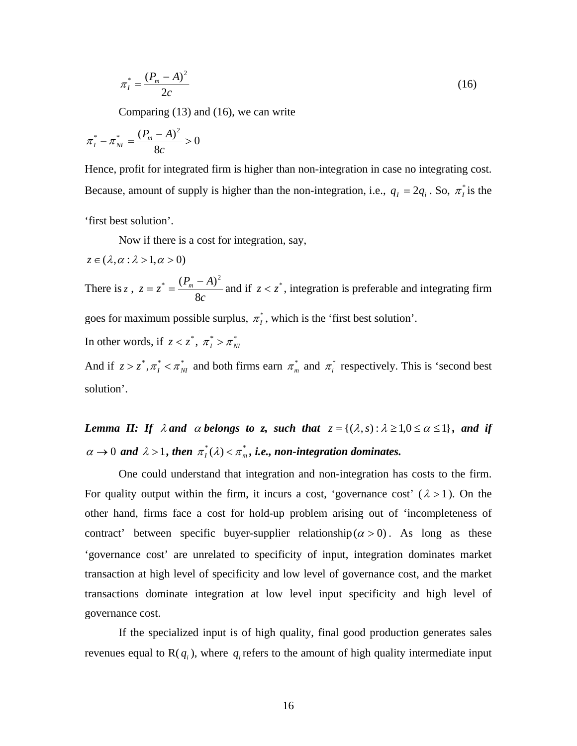$$
\pi_I^* = \frac{(P_m - A)^2}{2c} \tag{16}
$$

Comparing (13) and (16), we can write

$$
\pi_I^* - \pi_{NI}^* = \frac{(P_m - A)^2}{8c} > 0
$$

Hence, profit for integrated firm is higher than non-integration in case no integrating cost. Because, amount of supply is higher than the non-integration, i.e.,  $q_1 = 2q_i$ . So,  $\pi_i^*$  is the

'first best solution'.

Now if there is a cost for integration, say,

$$
z\in (\lambda,\alpha:\lambda>1,\alpha>0)
$$

There is *z*,  $z = z^* = \frac{(P_m - A)}{8c}$ 8  $z = z^* = \frac{(P_m - A)^2}{2}$  and if  $z < z^*$ , integration is preferable and integrating firm

goes for maximum possible surplus,  $\pi_I^*$ , which is the 'first best solution'.

In other words, if 
$$
z < z^*
$$
,  $\pi^*_I > \pi^*_{NI}$ 

And if  $z > z^*$ ,  $\pi_I^* < \pi_M^*$  and both firms earn  $\pi_m^*$  and  $\pi_I^*$  respectively. This is 'second best solution'.

*Lemma II: If*  $\lambda$  *and*  $\alpha$  *belongs to z, such that*  $z = \{(\lambda, s) : \lambda \geq 1, 0 \leq \alpha \leq 1\}$ *, and if*  $\alpha \rightarrow 0$  and  $\lambda > 1$ , then  $\pi_I^*(\lambda) < \pi_m^*$ , i.e., non-integration dominates.

One could understand that integration and non-integration has costs to the firm. For quality output within the firm, it incurs a cost, 'governance cost'  $(\lambda > 1)$ . On the other hand, firms face a cost for hold-up problem arising out of 'incompleteness of contract' between specific buyer-supplier relationship  $(\alpha > 0)$ . As long as these 'governance cost' are unrelated to specificity of input, integration dominates market transaction at high level of specificity and low level of governance cost, and the market transactions dominate integration at low level input specificity and high level of governance cost.

If the specialized input is of high quality, final good production generates sales revenues equal to  $R(q_i)$ , where  $q_i$  refers to the amount of high quality intermediate input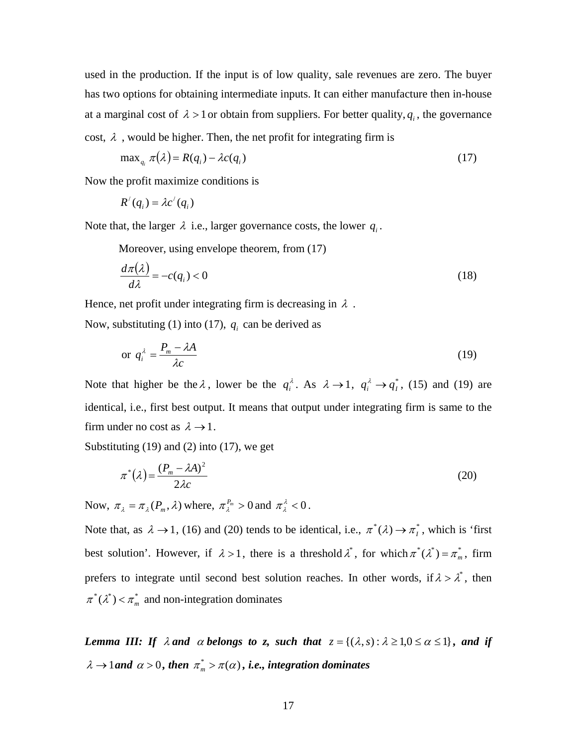used in the production. If the input is of low quality, sale revenues are zero. The buyer has two options for obtaining intermediate inputs. It can either manufacture then in-house at a marginal cost of  $\lambda > 1$  or obtain from suppliers. For better quality,  $q_i$ , the governance cost,  $\lambda$ , would be higher. Then, the net profit for integrating firm is

$$
\max_{q_i} \pi(\lambda) = R(q_i) - \lambda c(q_i) \tag{17}
$$

Now the profit maximize conditions is

$$
R'(q_i) = \lambda c'(q_i)
$$

Note that, the larger  $\lambda$  i.e., larger governance costs, the lower  $q_i$ .

Moreover, using envelope theorem, from (17)

$$
\frac{d\pi(\lambda)}{d\lambda} = -c(q_i) < 0\tag{18}
$$

Hence, net profit under integrating firm is decreasing in  $\lambda$ .

Now, substituting (1) into (17),  $q_i$  can be derived as

$$
\text{or } q_i^{\lambda} = \frac{P_m - \lambda A}{\lambda c} \tag{19}
$$

Note that higher be the  $\lambda$ , lower be the  $q_i^{\lambda}$ . As  $\lambda \rightarrow 1$ ,  $q_i^{\lambda} \rightarrow q_i^*$ , (15) and (19) are identical, i.e., first best output. It means that output under integrating firm is same to the firm under no cost as  $\lambda \rightarrow 1$ .

Substituting (19) and (2) into (17), we get

$$
\pi^*(\lambda) = \frac{(P_m - \lambda A)^2}{2\lambda c} \tag{20}
$$

Now,  $\pi_{\lambda} = \pi_{\lambda}(P_m, \lambda)$  where,  $\pi_{\lambda}^{P_m} > 0$  and  $\pi_{\lambda}^{\lambda} < 0$ .

Note that, as  $\lambda \to 1$ , (16) and (20) tends to be identical, i.e.,  $\pi^*(\lambda) \to \pi^*_1$ , which is 'first best solution'. However, if  $\lambda > 1$ , there is a threshold  $\lambda^*$ , for which  $\pi^*(\lambda^*) = \pi^*_{m}$ , firm prefers to integrate until second best solution reaches. In other words, if  $\lambda > \lambda^*$ , then  $\pi^*(\lambda^*) < \pi_m^*$  and non-integration dominates

*Lemma III: If*  $\lambda$  *and*  $\alpha$  *belongs to z, such that*  $z = \{(\lambda, s) : \lambda \geq 1, 0 \leq \alpha \leq 1\}$ *, and if*  $\lambda \rightarrow 1$ *and*  $\alpha > 0$ , then  $\pi_m^* > \pi(\alpha)$ , i.e., integration dominates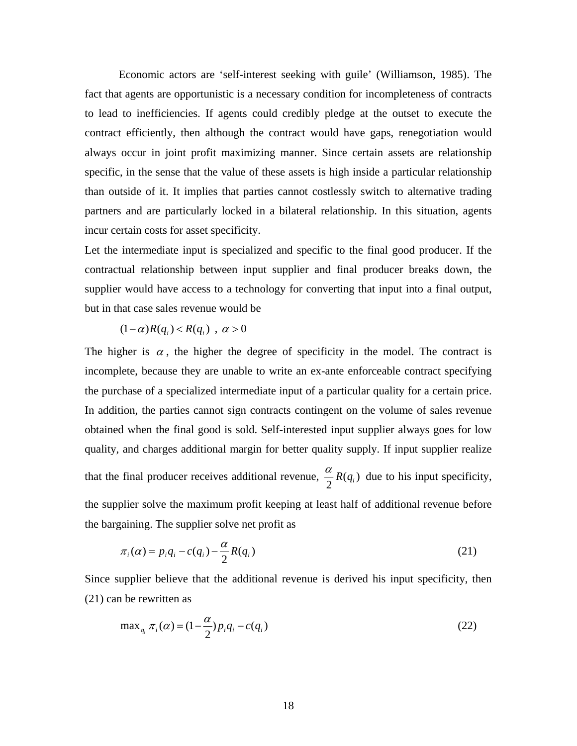Economic actors are 'self-interest seeking with guile' (Williamson, 1985). The fact that agents are opportunistic is a necessary condition for incompleteness of contracts to lead to inefficiencies. If agents could credibly pledge at the outset to execute the contract efficiently, then although the contract would have gaps, renegotiation would always occur in joint profit maximizing manner. Since certain assets are relationship specific, in the sense that the value of these assets is high inside a particular relationship than outside of it. It implies that parties cannot costlessly switch to alternative trading partners and are particularly locked in a bilateral relationship. In this situation, agents incur certain costs for asset specificity.

Let the intermediate input is specialized and specific to the final good producer. If the contractual relationship between input supplier and final producer breaks down, the supplier would have access to a technology for converting that input into a final output, but in that case sales revenue would be

$$
(1-\alpha)R(q_i) < R(q_i) \quad \alpha > 0
$$

The higher is  $\alpha$ , the higher the degree of specificity in the model. The contract is incomplete, because they are unable to write an ex-ante enforceable contract specifying the purchase of a specialized intermediate input of a particular quality for a certain price. In addition, the parties cannot sign contracts contingent on the volume of sales revenue obtained when the final good is sold. Self-interested input supplier always goes for low quality, and charges additional margin for better quality supply. If input supplier realize that the final producer receives additional revenue,  $\frac{\alpha}{2}R(q_i)$  due to his input specificity, the supplier solve the maximum profit keeping at least half of additional revenue before the bargaining. The supplier solve net profit as

$$
\pi_i(\alpha) = p_i q_i - c(q_i) - \frac{\alpha}{2} R(q_i)
$$
\n(21)

Since supplier believe that the additional revenue is derived his input specificity, then (21) can be rewritten as

$$
\max_{q_i} \pi_i(\alpha) = (1 - \frac{\alpha}{2}) p_i q_i - c(q_i)
$$
\n(22)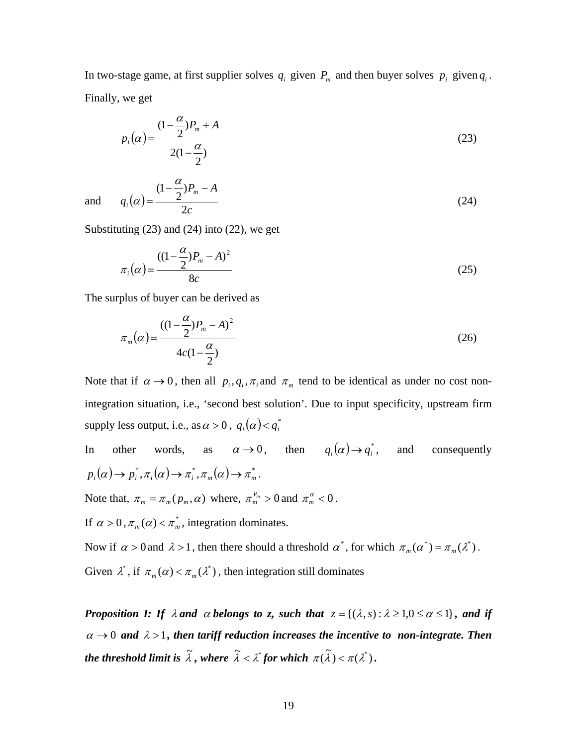In two-stage game, at first supplier solves  $q_i$  given  $P_m$  and then buyer solves  $p_i$  given  $q_i$ . Finally, we get

$$
p_i(\alpha) = \frac{(1 - \frac{\alpha}{2})P_m + A}{2(1 - \frac{\alpha}{2})}
$$
\n(23)

and  $q_i(\alpha)$ *c*  $q_i(\alpha) = \frac{(1-\frac{\alpha}{2})P_m - A}{2}$  $\frac{i}{2}$   $\frac{a}{2}$  $=\frac{(1-\frac{\alpha}{2})P_m-}{P_m}$ α  $\alpha = \frac{2}{\alpha}$  (24)

Substituting  $(23)$  and  $(24)$  into  $(22)$ , we get

$$
\pi_i(\alpha) = \frac{((1 - \frac{\alpha}{2})P_m - A)^2}{8c}
$$
\n(25)

The surplus of buyer can be derived as

$$
\pi_m(\alpha) = \frac{((1 - \frac{\alpha}{2})P_m - A)^2}{4c(1 - \frac{\alpha}{2})}
$$
\n(26)

Note that if  $\alpha \to 0$ , then all  $p_i, q_i, \pi_i$  and  $\pi_m$  tend to be identical as under no cost nonintegration situation, i.e., 'second best solution'. Due to input specificity, upstream firm supply less output, i.e., as  $\alpha > 0$ ,  $q_i(\alpha) < q_i^*$ 

In other words, as  $\alpha \to 0$ , then  $q_i(\alpha) \to q_i^*$ , and consequently  $p_i(\alpha) \to p_i^*, \pi_i(\alpha) \to \pi_i^*, \pi_m(\alpha) \to \pi_m^*.$ Note that,  $\pi_m = \pi_m(p_m, \alpha)$  where,  $\pi_m^{P_m} > 0$  and  $\pi_m^{\alpha} < 0$ .

If  $\alpha > 0$ ,  $\pi_m(\alpha) < \pi_m^*$ , integration dominates.

Now if  $\alpha > 0$  and  $\lambda > 1$ , then there should a threshold  $\alpha^*$ , for which  $\pi_m(\alpha^*) = \pi_m(\lambda^*)$ . Given  $\lambda^*$ , if  $\pi_m(\alpha) < \pi_m(\lambda^*)$ , then integration still dominates

*Proposition I: If*  $\lambda$  *and*  $\alpha$  *belongs to z, such that*  $z = \{(\lambda, s) : \lambda \geq 1, 0 \leq \alpha \leq 1\}$ *, and if*  $\alpha \rightarrow 0$  and  $\lambda > 1$ , then tariff reduction increases the incentive to non-integrate. Then the threshold limit is  $\widetilde{\lambda}$  , where  $\widetilde{\lambda} < \lambda^*$  for which  $\pi(\widetilde{\lambda}) < \pi(\lambda^*)$ .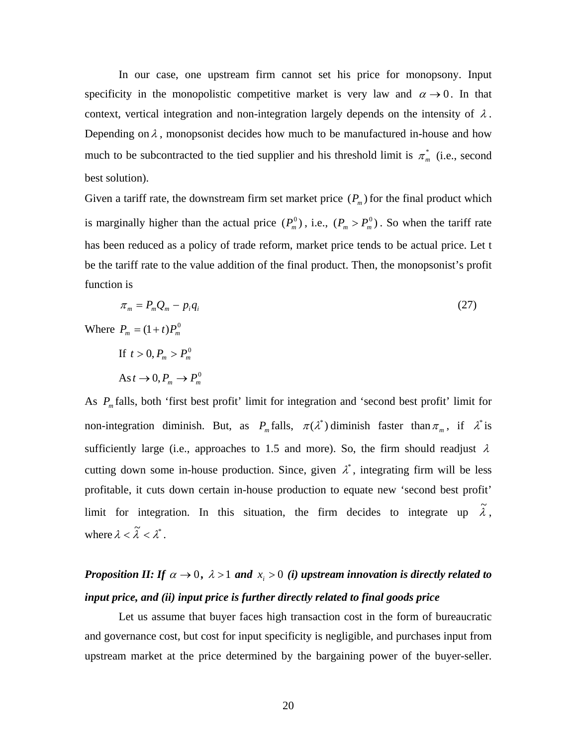In our case, one upstream firm cannot set his price for monopsony. Input specificity in the monopolistic competitive market is very law and  $\alpha \rightarrow 0$ . In that context, vertical integration and non-integration largely depends on the intensity of  $\lambda$ . Depending on  $\lambda$ , monopsonist decides how much to be manufactured in-house and how much to be subcontracted to the tied supplier and his threshold limit is  $\pi_{m}^{*}$  (i.e., second best solution).

Given a tariff rate, the downstream firm set market price  $(P_m)$  for the final product which is marginally higher than the actual price  $(P_m^0)$ , i.e.,  $(P_m > P_m^0)$ . So when the tariff rate has been reduced as a policy of trade reform, market price tends to be actual price. Let t be the tariff rate to the value addition of the final product. Then, the monopsonist's profit function is

$$
\pi_m = P_m Q_m - p_i q_i \tag{27}
$$

Where  $P_m = (1 + t) P_m^0$ 

If 
$$
t > 0
$$
,  $P_m > P_m^0$   
As  $t \to 0$ ,  $P_m \to P_m^0$ 

As  $P_m$  falls, both 'first best profit' limit for integration and 'second best profit' limit for non-integration diminish. But, as  $P_m$  falls,  $\pi(\lambda^*)$  diminish faster than  $\pi_m$ , if  $\lambda^*$  is sufficiently large (i.e., approaches to 1.5 and more). So, the firm should readjust  $\lambda$ cutting down some in-house production. Since, given  $\lambda^*$ , integrating firm will be less profitable, it cuts down certain in-house production to equate new 'second best profit' limit for integration. In this situation, the firm decides to integrate up  $\tilde{\lambda}$ , where  $\lambda < \tilde{\lambda} < \lambda^*$ .

# *Proposition II: If*  $\alpha \rightarrow 0$ ,  $\lambda > 1$  and  $x_i > 0$  (i) upstream innovation is directly related to *input price, and (ii) input price is further directly related to final goods price*

Let us assume that buyer faces high transaction cost in the form of bureaucratic and governance cost, but cost for input specificity is negligible, and purchases input from upstream market at the price determined by the bargaining power of the buyer-seller.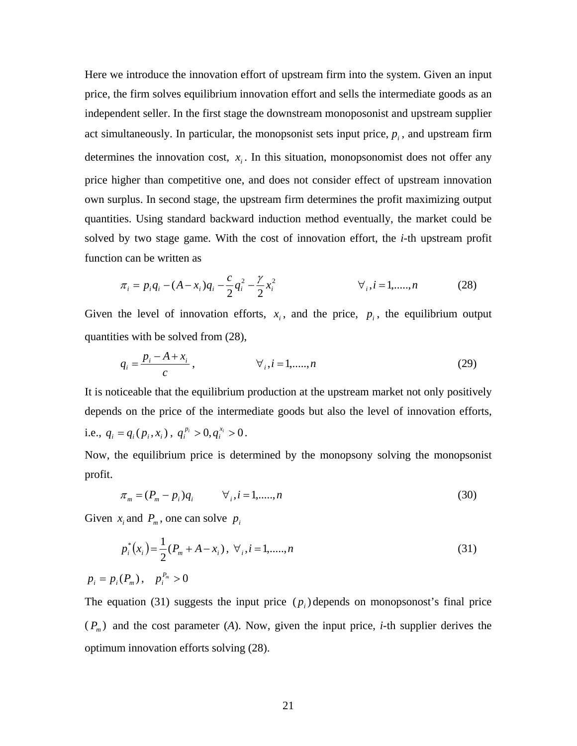Here we introduce the innovation effort of upstream firm into the system. Given an input price, the firm solves equilibrium innovation effort and sells the intermediate goods as an independent seller. In the first stage the downstream monoposonist and upstream supplier act simultaneously. In particular, the monopsonist sets input price,  $p_i$ , and upstream firm determines the innovation cost,  $x_i$ . In this situation, monopsonomist does not offer any price higher than competitive one, and does not consider effect of upstream innovation own surplus. In second stage, the upstream firm determines the profit maximizing output quantities. Using standard backward induction method eventually, the market could be solved by two stage game. With the cost of innovation effort, the *i*-th upstream profit function can be written as

$$
\pi_i = p_i q_i - (A - x_i) q_i - \frac{c}{2} q_i^2 - \frac{\gamma}{2} x_i^2 \qquad \forall i, i = 1, \dots, n
$$
 (28)

Given the level of innovation efforts,  $x_i$ , and the price,  $p_i$ , the equilibrium output quantities with be solved from (28),

$$
q_i = \frac{p_i - A + x_i}{c}, \qquad \forall i, i = 1, \dots, n
$$
 (29)

It is noticeable that the equilibrium production at the upstream market not only positively depends on the price of the intermediate goods but also the level of innovation efforts, i.e.,  $q_i = q_i(p_i, x_i)$ ,  $q_i^{p_i} > 0, q_i^{x_i} > 0$ .

Now, the equilibrium price is determined by the monopsony solving the monopsonist profit.

$$
\pi_m = (P_m - p_i)q_i \qquad \forall_i, i = 1, \dots, n
$$
\n(30)

Given  $x_i$  and  $P_m$ , one can solve  $p_i$ 

$$
p_i^*(x_i) = \frac{1}{2}(P_m + A - x_i), \ \forall i, i = 1, \dots, n
$$
\n
$$
p_i = p_i(P_m), \quad p_i^{P_m} > 0
$$
\n(31)

The equation (31) suggests the input price  $(p_i)$  depends on monopsonost's final price  $(P_m)$  and the cost parameter (*A*). Now, given the input price, *i*-th supplier derives the optimum innovation efforts solving (28).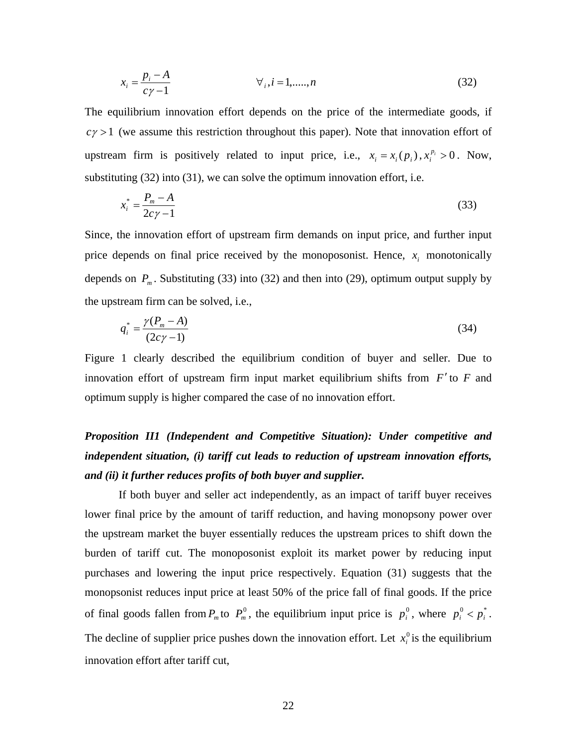$$
x_i = \frac{p_i - A}{c\gamma - 1} \qquad \forall i, i = 1, \dots, n
$$
 (32)

The equilibrium innovation effort depends on the price of the intermediate goods, if  $c\gamma > 1$  (we assume this restriction throughout this paper). Note that innovation effort of upstream firm is positively related to input price, i.e.,  $x_i = x_i(p_i)$ ,  $x_i^{p_i} > 0$ . Now, substituting (32) into (31), we can solve the optimum innovation effort, i.e.

$$
x_i^* = \frac{P_m - A}{2c\gamma - 1} \tag{33}
$$

Since, the innovation effort of upstream firm demands on input price, and further input price depends on final price received by the monoposonist. Hence,  $x_i$  monotonically depends on  $P_m$ . Substituting (33) into (32) and then into (29), optimum output supply by the upstream firm can be solved, i.e.,

$$
q_i^* = \frac{\gamma (P_m - A)}{(2c\gamma - 1)}\tag{34}
$$

Figure 1 clearly described the equilibrium condition of buyer and seller. Due to innovation effort of upstream firm input market equilibrium shifts from *F*′ to *F* and optimum supply is higher compared the case of no innovation effort.

# *Proposition II1 (Independent and Competitive Situation): Under competitive and independent situation, (i) tariff cut leads to reduction of upstream innovation efforts, and (ii) it further reduces profits of both buyer and supplier.*

If both buyer and seller act independently, as an impact of tariff buyer receives lower final price by the amount of tariff reduction, and having monopsony power over the upstream market the buyer essentially reduces the upstream prices to shift down the burden of tariff cut. The monoposonist exploit its market power by reducing input purchases and lowering the input price respectively. Equation (31) suggests that the monopsonist reduces input price at least 50% of the price fall of final goods. If the price of final goods fallen from  $P_m$  to  $P_m^0$ , the equilibrium input price is  $p_i^0$ , where  $p_i^0 < p_i^*$ . The decline of supplier price pushes down the innovation effort. Let  $x_i^0$  is the equilibrium innovation effort after tariff cut,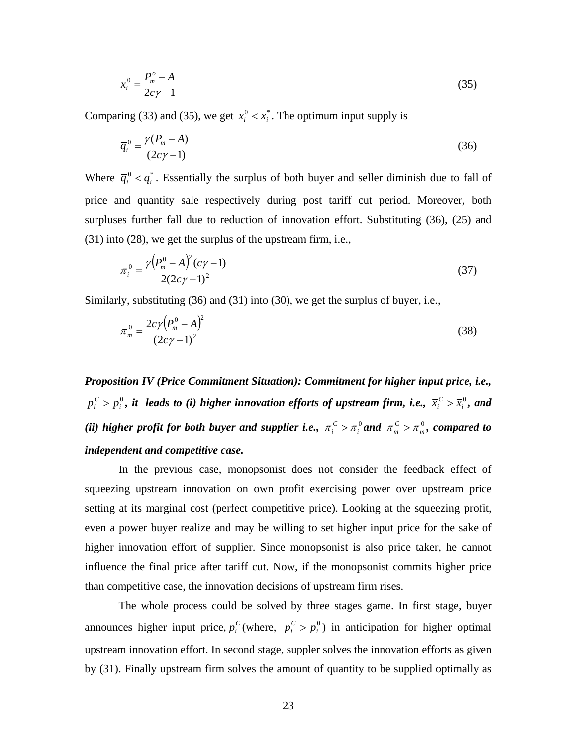$$
\overline{x}_i^0 = \frac{P_m^o - A}{2c\gamma - 1} \tag{35}
$$

Comparing (33) and (35), we get  $x_i^0 < x_i^*$ . The optimum input supply is

$$
\overline{q}_i^0 = \frac{\gamma (P_m - A)}{(2c\gamma - 1)}\tag{36}
$$

Where  $\overline{q}_i^0 < q_i^*$ . Essentially the surplus of both buyer and seller diminish due to fall of price and quantity sale respectively during post tariff cut period. Moreover, both surpluses further fall due to reduction of innovation effort. Substituting (36), (25) and (31) into (28), we get the surplus of the upstream firm, i.e.,

$$
\overline{\pi}_{i}^{0} = \frac{\gamma (P_{m}^{0} - A)^{2} (c\gamma - 1)}{2(2c\gamma - 1)^{2}}
$$
\n(37)

Similarly, substituting (36) and (31) into (30), we get the surplus of buyer, i.e.,

$$
\overline{\pi}_m^0 = \frac{2c\gamma (P_m^0 - A)^2}{(2c\gamma - 1)^2}
$$
\n(38)

*Proposition IV (Price Commitment Situation): Commitment for higher input price, i.e.,*  0  $p_i^C > p_i^0$ , it leads to (i) higher innovation efforts of upstream firm, i.e.,  $\bar{x}_i^C > \bar{x}_i^0$  $\overline{x}_i^C > \overline{x}_i^0$ , and *(ii) higher profit for both buyer and supplier i.e.,*  $\overline{\pi}^C_i > \overline{\pi}^0_i$  and  $\overline{\pi}^C_m > \overline{\pi}^0_m$ , compared to *independent and competitive case.* 

In the previous case, monopsonist does not consider the feedback effect of squeezing upstream innovation on own profit exercising power over upstream price setting at its marginal cost (perfect competitive price). Looking at the squeezing profit, even a power buyer realize and may be willing to set higher input price for the sake of higher innovation effort of supplier. Since monopsonist is also price taker, he cannot influence the final price after tariff cut. Now, if the monopsonist commits higher price than competitive case, the innovation decisions of upstream firm rises.

The whole process could be solved by three stages game. In first stage, buyer announces higher input price,  $p_i^C$  (where,  $p_i^C > p_i^0$ ) in anticipation for higher optimal upstream innovation effort. In second stage, suppler solves the innovation efforts as given by (31). Finally upstream firm solves the amount of quantity to be supplied optimally as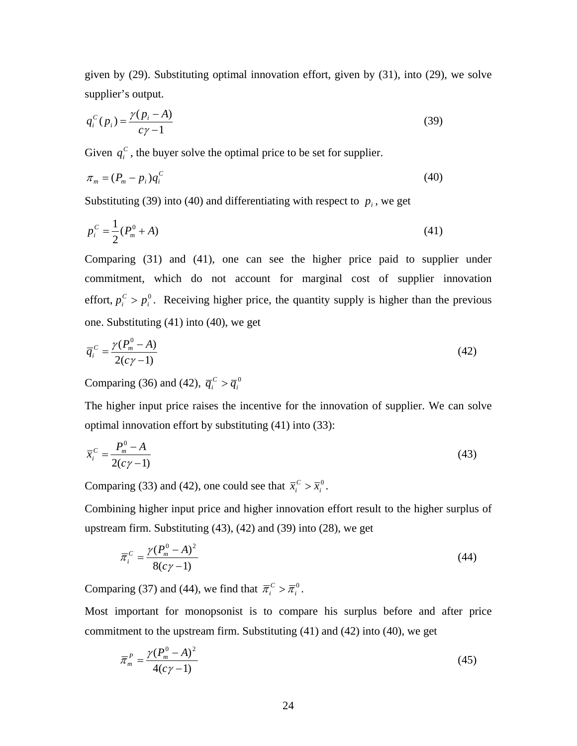given by (29). Substituting optimal innovation effort, given by (31), into (29), we solve supplier's output.

$$
q_i^C(p_i) = \frac{\gamma(p_i - A)}{c\gamma - 1} \tag{39}
$$

Given  $q_i^C$ , the buyer solve the optimal price to be set for supplier.

$$
\pi_m = (P_m - p_i)q_i^C \tag{40}
$$

Substituting (39) into (40) and differentiating with respect to  $p_i$ , we get

$$
p_i^C = \frac{1}{2}(P_m^0 + A)
$$
 (41)

Comparing (31) and (41), one can see the higher price paid to supplier under commitment, which do not account for marginal cost of supplier innovation effort,  $p_i^C > p_i^0$ . Receiving higher price, the quantity supply is higher than the previous one. Substituting (41) into (40), we get

$$
\overline{q}_i^c = \frac{\gamma(P_m^0 - A)}{2(c\gamma - 1)}\tag{42}
$$

Comparing (36) and (42),  $\overline{q}_i^c > \overline{q}_i^0$ 

The higher input price raises the incentive for the innovation of supplier. We can solve optimal innovation effort by substituting (41) into (33):

$$
\bar{x}_i^c = \frac{P_m^0 - A}{2(c\gamma - 1)}
$$
\n(43)

Comparing (33) and (42), one could see that  $\bar{x}_i^C > \bar{x}_i^0$  $\overline{x}_i^C > \overline{x}_i^0$ .

Combining higher input price and higher innovation effort result to the higher surplus of upstream firm. Substituting (43), (42) and (39) into (28), we get

$$
\overline{\pi}_{i}^{C} = \frac{\gamma (P_{m}^{0} - A)^{2}}{8(c\gamma - 1)}
$$
\n(44)

Comparing (37) and (44), we find that  $\overline{\pi}_i^C > \overline{\pi}_i^0$ .

Most important for monopsonist is to compare his surplus before and after price commitment to the upstream firm. Substituting (41) and (42) into (40), we get

$$
\overline{\pi}_m^P = \frac{\gamma (P_m^0 - A)^2}{4(c\gamma - 1)}
$$
\n(45)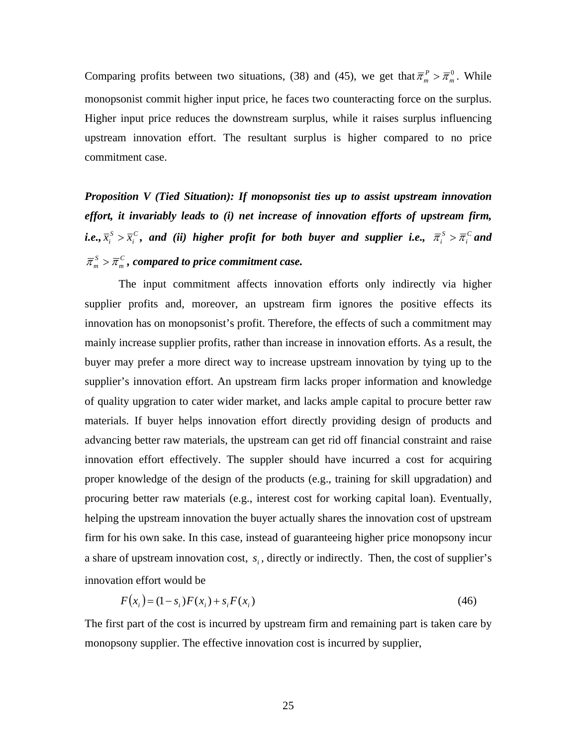Comparing profits between two situations, (38) and (45), we get that  $\overline{\pi}_{m}^{P} > \overline{\pi}_{m}^{0}$ . While monopsonist commit higher input price, he faces two counteracting force on the surplus. Higher input price reduces the downstream surplus, while it raises surplus influencing upstream innovation effort. The resultant surplus is higher compared to no price commitment case.

*Proposition V (Tied Situation): If monopsonist ties up to assist upstream innovation effort, it invariably leads to (i) net increase of innovation efforts of upstream firm, i.e.,*  $\overline{x}_i^S > \overline{x}_i^C$  $\overline{x}_i^S > \overline{x}_i^C$ , and (ii) higher profit for both buyer and supplier i.e.,  $\overline{\pi}_i^S > \overline{\pi}_i^C$  and *C*  $\overline{\pi}_{m}^{S} > \overline{\pi}_{m}^{C}$ , compared to price commitment case.

The input commitment affects innovation efforts only indirectly via higher supplier profits and, moreover, an upstream firm ignores the positive effects its innovation has on monopsonist's profit. Therefore, the effects of such a commitment may mainly increase supplier profits, rather than increase in innovation efforts. As a result, the buyer may prefer a more direct way to increase upstream innovation by tying up to the supplier's innovation effort. An upstream firm lacks proper information and knowledge of quality upgration to cater wider market, and lacks ample capital to procure better raw materials. If buyer helps innovation effort directly providing design of products and advancing better raw materials, the upstream can get rid off financial constraint and raise innovation effort effectively. The suppler should have incurred a cost for acquiring proper knowledge of the design of the products (e.g., training for skill upgradation) and procuring better raw materials (e.g., interest cost for working capital loan). Eventually, helping the upstream innovation the buyer actually shares the innovation cost of upstream firm for his own sake. In this case, instead of guaranteeing higher price monopsony incur a share of upstream innovation cost,  $s_i$ , directly or indirectly. Then, the cost of supplier's innovation effort would be

$$
F(x_i) = (1 - s_i)F(x_i) + s_i F(x_i)
$$
\n(46)

The first part of the cost is incurred by upstream firm and remaining part is taken care by monopsony supplier. The effective innovation cost is incurred by supplier,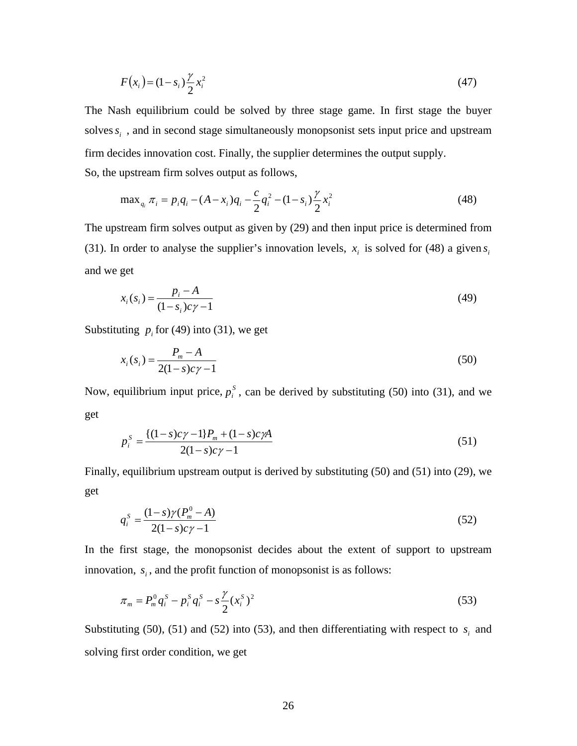$$
F(x_i) = (1 - s_i) \frac{\gamma}{2} x_i^2
$$
\n(47)

The Nash equilibrium could be solved by three stage game. In first stage the buyer solves  $s_i$ , and in second stage simultaneously monopsonist sets input price and upstream firm decides innovation cost. Finally, the supplier determines the output supply. So, the upstream firm solves output as follows,

$$
\max_{q_i} \pi_i = p_i q_i - (A - x_i) q_i - \frac{c}{2} q_i^2 - (1 - s_i) \frac{\gamma}{2} x_i^2
$$
\n(48)

The upstream firm solves output as given by (29) and then input price is determined from (31). In order to analyse the supplier's innovation levels,  $x_i$  is solved for (48) a given  $s_i$ and we get

$$
x_i(s_i) = \frac{p_i - A}{(1 - s_i)c\gamma - 1}
$$
\n(49)

Substituting  $p_i$  for (49) into (31), we get

$$
x_i(s_i) = \frac{P_m - A}{2(1 - s)c\gamma - 1}
$$
\n(50)

Now, equilibrium input price,  $p_i^s$ , can be derived by substituting (50) into (31), and we get

$$
p_i^s = \frac{\{(1-s)c\gamma - 1\}P_m + (1-s)c\gamma A}{2(1-s)c\gamma - 1}
$$
\n(51)

Finally, equilibrium upstream output is derived by substituting (50) and (51) into (29), we get

$$
q_i^s = \frac{(1-s)\gamma(P_m^0 - A)}{2(1-s)c\gamma - 1}
$$
\n(52)

In the first stage, the monopsonist decides about the extent of support to upstream innovation,  $s_i$ , and the profit function of monopsonist is as follows:

$$
\pi_m = P_m^0 q_i^S - p_i^S q_i^S - s \frac{\gamma}{2} (x_i^S)^2
$$
\n(53)

Substituting (50), (51) and (52) into (53), and then differentiating with respect to  $s_i$  and solving first order condition, we get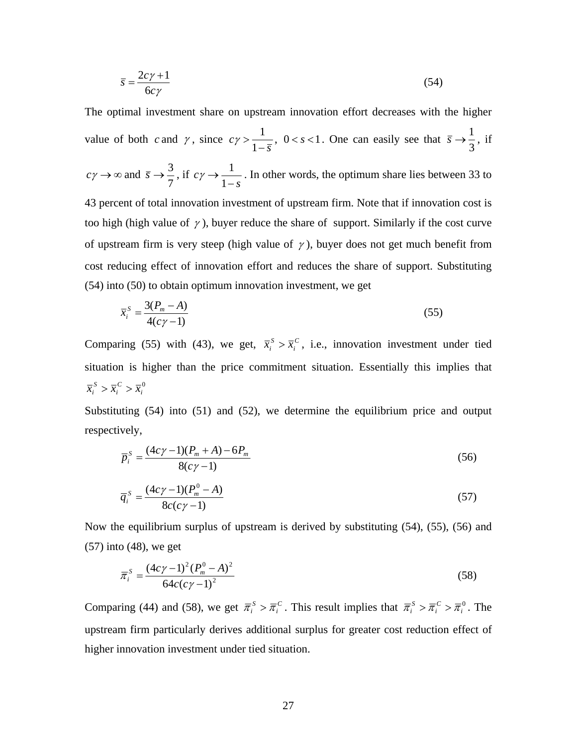$$
\bar{s} = \frac{2c\gamma + 1}{6c\gamma} \tag{54}
$$

The optimal investment share on upstream innovation effort decreases with the higher value of both  $c$  and  $\gamma$ , since  $c\gamma > \frac{1}{1-\bar{s}}$  $y > \frac{1}{1-\overline{s}}$ ,  $0 < s < 1$ . One can easily see that  $\overline{s} \rightarrow \frac{1}{3}$ , if  $c\gamma \rightarrow \infty$  and 7  $\bar{s} \rightarrow \frac{3}{2}$ , if  $c\gamma \rightarrow \frac{1}{1-s}$  $\gamma \rightarrow \frac{1}{1}$ . In other words, the optimum share lies between 33 to 43 percent of total innovation investment of upstream firm. Note that if innovation cost is too high (high value of  $\gamma$ ), buyer reduce the share of support. Similarly if the cost curve of upstream firm is very steep (high value of  $\gamma$ ), buyer does not get much benefit from cost reducing effect of innovation effort and reduces the share of support. Substituting (54) into (50) to obtain optimum innovation investment, we get

$$
\bar{x}_i^S = \frac{3(P_m - A)}{4(c\gamma - 1)}
$$
\n(55)

Comparing (55) with (43), we get,  $\bar{x}_i^S > \bar{x}_i^C$  $\bar{x}_i^S$  >  $\bar{x}_i^C$ , i.e., innovation investment under tied situation is higher than the price commitment situation. Essentially this implies that 0 *i C i*  $\overline{x}_i^S$  >  $\overline{x}_i^C$  >  $\overline{x}_i$ 

Substituting (54) into (51) and (52), we determine the equilibrium price and output respectively,

$$
\overline{p}_i^S = \frac{(4c\gamma - 1)(P_m + A) - 6P_m}{8(c\gamma - 1)}
$$
\n(56)

$$
\overline{q}_i^S = \frac{(4c\gamma - 1)(P_m^0 - A)}{8c(c\gamma - 1)}
$$
\n(57)

Now the equilibrium surplus of upstream is derived by substituting (54), (55), (56) and (57) into (48), we get

$$
\overline{\pi}_{i}^{S} = \frac{(4c\gamma - 1)^{2} (P_{m}^{0} - A)^{2}}{64c(c\gamma - 1)^{2}}
$$
\n(58)

Comparing (44) and (58), we get  $\overline{\pi}_i^S > \overline{\pi}_i^C$ . This result implies that  $\overline{\pi}_i^S > \overline{\pi}_i^C > \overline{\pi}_i^C$ *C*  $\overline{\pi}_{i}^{S} > \overline{\pi}_{i}^{C} > \overline{\pi}_{i}^{0}$ . The upstream firm particularly derives additional surplus for greater cost reduction effect of higher innovation investment under tied situation.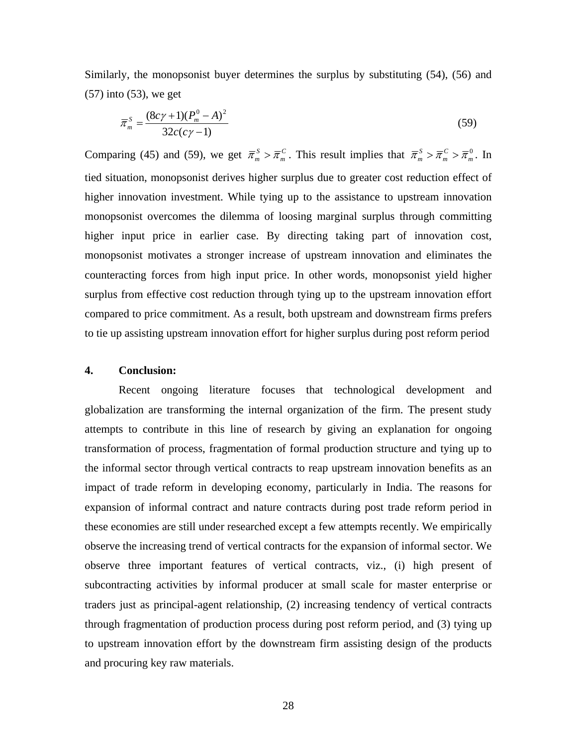Similarly, the monopsonist buyer determines the surplus by substituting (54), (56) and (57) into (53), we get

$$
\overline{\pi}_m^S = \frac{(8c\gamma + 1)(P_m^0 - A)^2}{32c(c\gamma - 1)}
$$
\n(59)

Comparing (45) and (59), we get  $\bar{\pi}_m^S > \bar{\pi}_m^C$ . This result implies that  $\bar{\pi}_m^S > \bar{\pi}_m^C > \bar{\pi}_m^0$ *C*  $\overline{\pi}_m^S > \overline{\pi}_m^C > \overline{\pi}_m^0$ . In tied situation, monopsonist derives higher surplus due to greater cost reduction effect of higher innovation investment. While tying up to the assistance to upstream innovation monopsonist overcomes the dilemma of loosing marginal surplus through committing higher input price in earlier case. By directing taking part of innovation cost, monopsonist motivates a stronger increase of upstream innovation and eliminates the counteracting forces from high input price. In other words, monopsonist yield higher surplus from effective cost reduction through tying up to the upstream innovation effort compared to price commitment. As a result, both upstream and downstream firms prefers to tie up assisting upstream innovation effort for higher surplus during post reform period

### **4. Conclusion:**

Recent ongoing literature focuses that technological development and globalization are transforming the internal organization of the firm. The present study attempts to contribute in this line of research by giving an explanation for ongoing transformation of process, fragmentation of formal production structure and tying up to the informal sector through vertical contracts to reap upstream innovation benefits as an impact of trade reform in developing economy, particularly in India. The reasons for expansion of informal contract and nature contracts during post trade reform period in these economies are still under researched except a few attempts recently. We empirically observe the increasing trend of vertical contracts for the expansion of informal sector. We observe three important features of vertical contracts, viz., (i) high present of subcontracting activities by informal producer at small scale for master enterprise or traders just as principal-agent relationship, (2) increasing tendency of vertical contracts through fragmentation of production process during post reform period, and (3) tying up to upstream innovation effort by the downstream firm assisting design of the products and procuring key raw materials.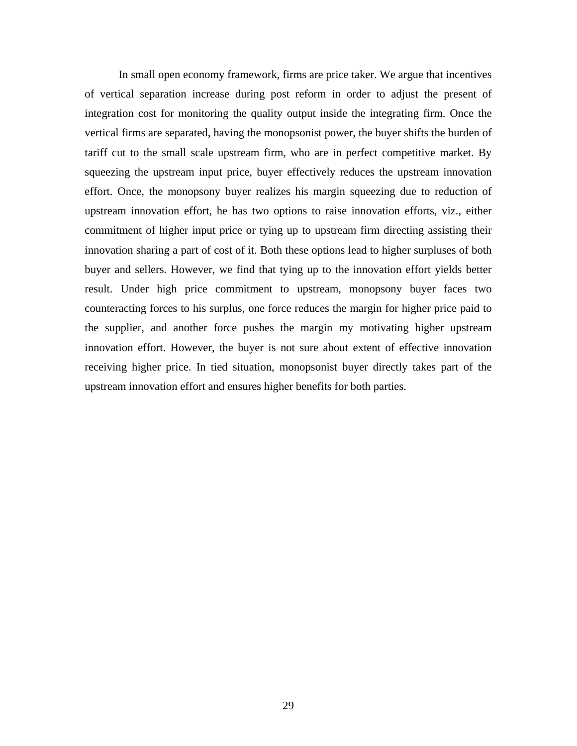In small open economy framework, firms are price taker. We argue that incentives of vertical separation increase during post reform in order to adjust the present of integration cost for monitoring the quality output inside the integrating firm. Once the vertical firms are separated, having the monopsonist power, the buyer shifts the burden of tariff cut to the small scale upstream firm, who are in perfect competitive market. By squeezing the upstream input price, buyer effectively reduces the upstream innovation effort. Once, the monopsony buyer realizes his margin squeezing due to reduction of upstream innovation effort, he has two options to raise innovation efforts, viz., either commitment of higher input price or tying up to upstream firm directing assisting their innovation sharing a part of cost of it. Both these options lead to higher surpluses of both buyer and sellers. However, we find that tying up to the innovation effort yields better result. Under high price commitment to upstream, monopsony buyer faces two counteracting forces to his surplus, one force reduces the margin for higher price paid to the supplier, and another force pushes the margin my motivating higher upstream innovation effort. However, the buyer is not sure about extent of effective innovation receiving higher price. In tied situation, monopsonist buyer directly takes part of the upstream innovation effort and ensures higher benefits for both parties.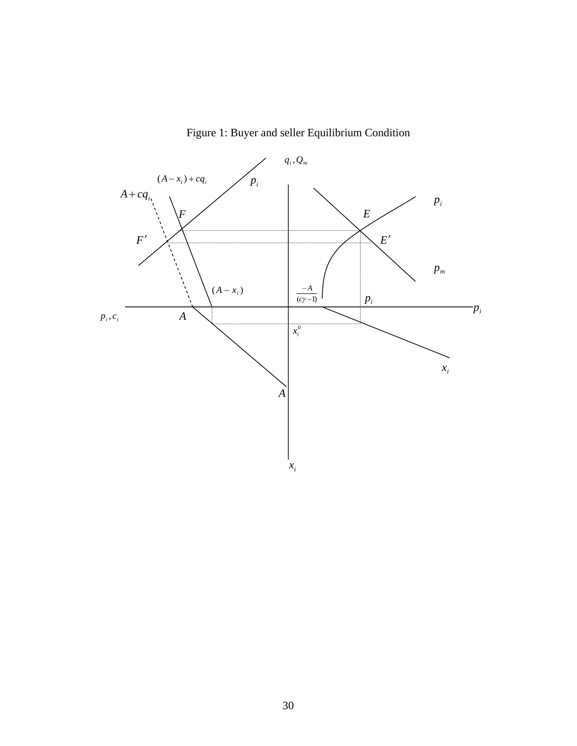

Figure 1: Buyer and seller Equilibrium Condition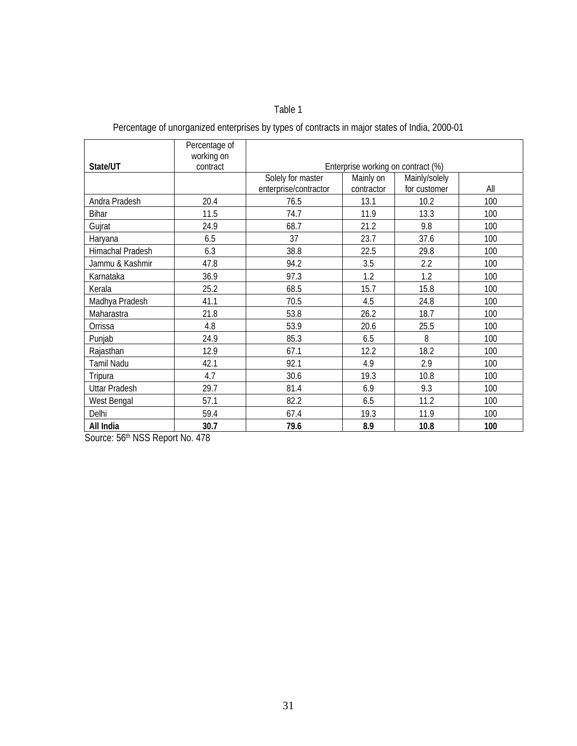### Table 1

## Percentage of unorganized enterprises by types of contracts in major states of India, 2000-01

|                      | Percentage of          |                                    |            |               |     |  |  |
|----------------------|------------------------|------------------------------------|------------|---------------|-----|--|--|
| State/UT             | working on<br>contract | Enterprise working on contract (%) |            |               |     |  |  |
|                      |                        | Solely for master                  | Mainly on  | Mainly/solely |     |  |  |
|                      |                        | enterprise/contractor              | contractor | for customer  | All |  |  |
| Andra Pradesh        | 20.4                   | 76.5                               | 13.1       | 10.2          | 100 |  |  |
| <b>Bihar</b>         | 11.5                   | 74.7                               | 11.9       | 13.3          | 100 |  |  |
| Gujrat               | 24.9                   | 68.7                               | 21.2       | 9.8           | 100 |  |  |
| Haryana              | 6.5                    | 37                                 | 23.7       | 37.6          | 100 |  |  |
| Himachal Pradesh     | 6.3                    | 38.8                               | 22.5       | 29.8          | 100 |  |  |
| Jammu & Kashmir      | 47.8                   | 94.2                               | 3.5        | 2.2           | 100 |  |  |
| Karnataka            | 36.9                   | 97.3                               | 1.2        | 1.2           | 100 |  |  |
| Kerala               | 25.2                   | 68.5                               | 15.7       | 15.8          | 100 |  |  |
| Madhya Pradesh       | 41.1                   | 70.5                               | 4.5        | 24.8          | 100 |  |  |
| Maharastra           | 21.8                   | 53.8                               | 26.2       | 18.7          | 100 |  |  |
| Orrissa              | 4.8                    | 53.9                               | 20.6       | 25.5          | 100 |  |  |
| Punjab               | 24.9                   | 85.3                               | 6.5        | 8             | 100 |  |  |
| Rajasthan            | 12.9                   | 67.1                               | 12.2       | 18.2          | 100 |  |  |
| <b>Tamil Nadu</b>    | 42.1                   | 92.1                               | 4.9        | 2.9           | 100 |  |  |
| Tripura              | 4.7                    | 30.6                               | 19.3       | 10.8          | 100 |  |  |
| <b>Uttar Pradesh</b> | 29.7                   | 81.4                               | 6.9        | 9.3           | 100 |  |  |
| West Bengal          | 57.1                   | 82.2                               | 6.5        | 11.2          | 100 |  |  |
| Delhi                | 59.4                   | 67.4                               | 19.3       | 11.9          | 100 |  |  |
| All India            | 30.7                   | 79.6                               | 8.9        | 10.8          | 100 |  |  |

Source: 56<sup>th</sup> NSS Report No. 478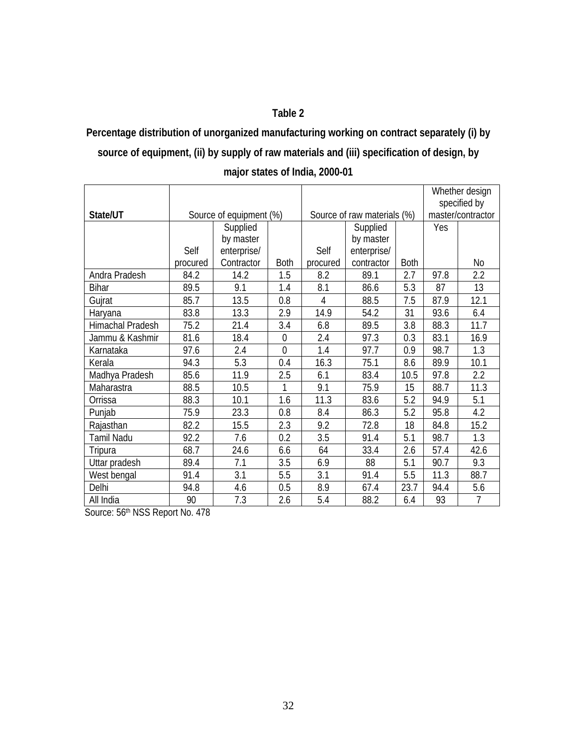### **Table 2**

# **Percentage distribution of unorganized manufacturing working on contract separately (i) by source of equipment, (ii) by supply of raw materials and (iii) specification of design, by**

|                  |                         |             |                             |          |             | Whether design<br>specified by |      |           |
|------------------|-------------------------|-------------|-----------------------------|----------|-------------|--------------------------------|------|-----------|
| State/UT         | Source of equipment (%) |             | Source of raw materials (%) |          |             | master/contractor              |      |           |
|                  |                         | Supplied    |                             |          | Supplied    |                                | Yes  |           |
|                  |                         | by master   |                             |          | by master   |                                |      |           |
|                  | Self                    | enterprise/ |                             | Self     | enterprise/ |                                |      |           |
|                  | procured                | Contractor  | <b>Both</b>                 | procured | contractor  | <b>Both</b>                    |      | <b>No</b> |
| Andra Pradesh    | 84.2                    | 14.2        | 1.5                         | 8.2      | 89.1        | 2.7                            | 97.8 | 2.2       |
| <b>Bihar</b>     | 89.5                    | 9.1         | 1.4                         | 8.1      | 86.6        | 5.3                            | 87   | 13        |
| Gujrat           | 85.7                    | 13.5        | 0.8                         | 4        | 88.5        | 7.5                            | 87.9 | 12.1      |
| Haryana          | 83.8                    | 13.3        | 2.9                         | 14.9     | 54.2        | 31                             | 93.6 | 6.4       |
| Himachal Pradesh | 75.2                    | 21.4        | 3.4                         | 6.8      | 89.5        | 3.8                            | 88.3 | 11.7      |
| Jammu & Kashmir  | 81.6                    | 18.4        | $\mathbf 0$                 | 2.4      | 97.3        | 0.3                            | 83.1 | 16.9      |
| Karnataka        | 97.6                    | 2.4         | $\overline{0}$              | 1.4      | 97.7        | 0.9                            | 98.7 | 1.3       |
| Kerala           | 94.3                    | 5.3         | 0.4                         | 16.3     | 75.1        | 8.6                            | 89.9 | 10.1      |
| Madhya Pradesh   | 85.6                    | 11.9        | 2.5                         | 6.1      | 83.4        | 10.5                           | 97.8 | 2.2       |
| Maharastra       | 88.5                    | 10.5        |                             | 9.1      | 75.9        | 15                             | 88.7 | 11.3      |
| Orrissa          | 88.3                    | 10.1        | 1.6                         | 11.3     | 83.6        | 5.2                            | 94.9 | 5.1       |
| Punjab           | 75.9                    | 23.3        | 0.8                         | 8.4      | 86.3        | 5.2                            | 95.8 | 4.2       |
| Rajasthan        | 82.2                    | 15.5        | 2.3                         | 9.2      | 72.8        | 18                             | 84.8 | 15.2      |
| Tamil Nadu       | 92.2                    | 7.6         | 0.2                         | 3.5      | 91.4        | 5.1                            | 98.7 | 1.3       |
| Tripura          | 68.7                    | 24.6        | 6.6                         | 64       | 33.4        | 2.6                            | 57.4 | 42.6      |
| Uttar pradesh    | 89.4                    | 7.1         | 3.5                         | 6.9      | 88          | 5.1                            | 90.7 | 9.3       |
| West bengal      | 91.4                    | 3.1         | 5.5                         | 3.1      | 91.4        | 5.5                            | 11.3 | 88.7      |
| Delhi            | 94.8                    | 4.6         | 0.5                         | 8.9      | 67.4        | 23.7                           | 94.4 | 5.6       |
| All India        | 90                      | 7.3         | 2.6                         | 5.4      | 88.2        | 6.4                            | 93   | 7         |

| major states of India, 2000-01 |  |  |
|--------------------------------|--|--|
|--------------------------------|--|--|

Source: 56th NSS Report No. 478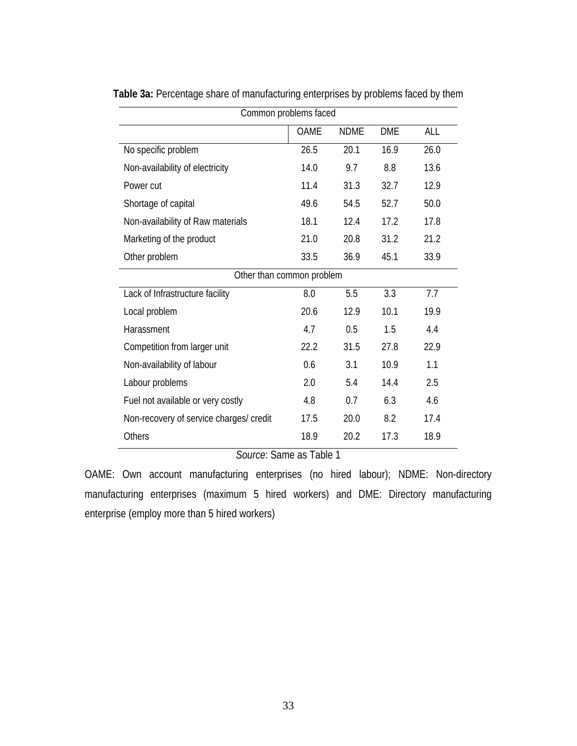| Common problems faced                   |             |             |            |      |  |  |
|-----------------------------------------|-------------|-------------|------------|------|--|--|
|                                         | <b>OAME</b> | <b>NDME</b> | <b>DME</b> | ALL  |  |  |
| No specific problem                     | 26.5        | 20.1        | 16.9       | 26.0 |  |  |
| Non-availability of electricity         | 14.0        | 9.7         | 8.8        | 13.6 |  |  |
| Power cut                               | 11.4        | 31.3        | 32.7       | 12.9 |  |  |
| Shortage of capital                     | 49.6        | 54.5        | 52.7       | 50.0 |  |  |
| Non-availability of Raw materials       | 18.1        | 12.4        | 17.2       | 17.8 |  |  |
| Marketing of the product                | 21.0        | 20.8        | 31.2       | 21.2 |  |  |
| Other problem                           | 33.5        | 36.9        | 45.1       | 33.9 |  |  |
| Other than common problem               |             |             |            |      |  |  |
| Lack of Infrastructure facility         | 8.0         | 5.5         | 3.3        | 7.7  |  |  |
| Local problem                           | 20.6        | 12.9        | 10.1       | 19.9 |  |  |
| Harassment                              | 4.7         | 0.5         | 1.5        | 4.4  |  |  |
| Competition from larger unit            | 22.2        | 31.5        | 27.8       | 22.9 |  |  |
| Non-availability of labour              | 0.6         | 3.1         | 10.9       | 1.1  |  |  |
| Labour problems                         | 2.0         | 5.4         | 14.4       | 2.5  |  |  |
| Fuel not available or very costly       | 4.8         | 0.7         | 6.3        | 4.6  |  |  |
| Non-recovery of service charges/ credit | 17.5        | 20.0        | 8.2        | 17.4 |  |  |
| Others                                  | 18.9        | 20.2        | 17.3       | 18.9 |  |  |

**Table 3a:** Percentage share of manufacturing enterprises by problems faced by them

*Source*: Same as Table 1

OAME: Own account manufacturing enterprises (no hired labour); NDME: Non-directory manufacturing enterprises (maximum 5 hired workers) and DME: Directory manufacturing enterprise (employ more than 5 hired workers)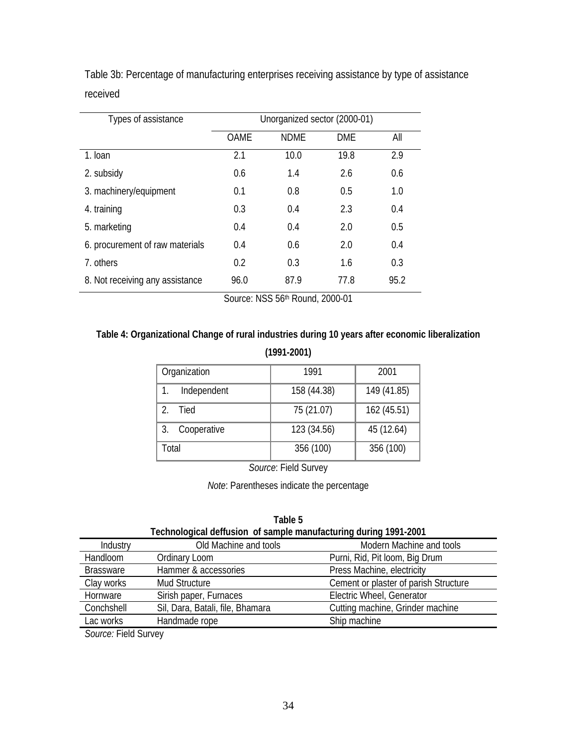| Types of assistance             | Unorganized sector (2000-01) |             |            |      |  |  |
|---------------------------------|------------------------------|-------------|------------|------|--|--|
|                                 | <b>OAME</b>                  | <b>NDMF</b> | <b>DMF</b> | All  |  |  |
| 1. Ioan                         | 2.1                          | 10.0        | 19.8       | 2.9  |  |  |
| 2. subsidy                      | 0.6                          | 1.4         | 2.6        | 0.6  |  |  |
| 3. machinery/equipment          | 0.1                          | 0.8         | 0.5        | 1.0  |  |  |
| 4. training                     | 0.3                          | 0.4         | 2.3        | 0.4  |  |  |
| 5. marketing                    | 0.4                          | 0.4         | 2.0        | 0.5  |  |  |
| 6. procurement of raw materials | 0.4                          | 0.6         | 2.0        | 0.4  |  |  |
| 7. others                       | 0.2                          | 0.3         | 1.6        | 0.3  |  |  |
| 8. Not receiving any assistance | 96.0                         | 87.9        | 77.8       | 95.2 |  |  |

Table 3b: Percentage of manufacturing enterprises receiving assistance by type of assistance received

Source: NSS 56<sup>th</sup> Round, 2000-01

### **Table 4: Organizational Change of rural industries during 10 years after economic liberalization**

**(1991-2001)** 

| Organization      | 1991        | 2001        |
|-------------------|-------------|-------------|
| Independent       | 158 (44.38) | 149 (41.85) |
| Tied              | 75 (21.07)  | 162 (45.51) |
| 3.<br>Cooperative | 123 (34.56) | 45 (12.64)  |
| Total             | 356 (100)   | 356 (100)   |

*Source*: Field Survey

*Note*: Parentheses indicate the percentage

| Technological deffusion of sample manufacturing during 1991-2001 |                                  |                                       |  |  |  |  |
|------------------------------------------------------------------|----------------------------------|---------------------------------------|--|--|--|--|
| Industry                                                         | Old Machine and tools            | Modern Machine and tools              |  |  |  |  |
| Handloom                                                         | Ordinary Loom                    | Purni, Rid, Pit Ioom, Big Drum        |  |  |  |  |
| <b>Brassware</b>                                                 | Hammer & accessories             | Press Machine, electricity            |  |  |  |  |
| Clay works                                                       | Mud Structure                    | Cement or plaster of parish Structure |  |  |  |  |
| Hornware                                                         | Sirish paper, Furnaces           | Electric Wheel, Generator             |  |  |  |  |
| Conchshell                                                       | Sil, Dara, Batali, file, Bhamara | Cutting machine, Grinder machine      |  |  |  |  |
| Lac works                                                        | Handmade rope                    | Ship machine                          |  |  |  |  |

**Table 5 Technological deffusion of sample manufacturing during 1991-2001** 

*Source:* Field Survey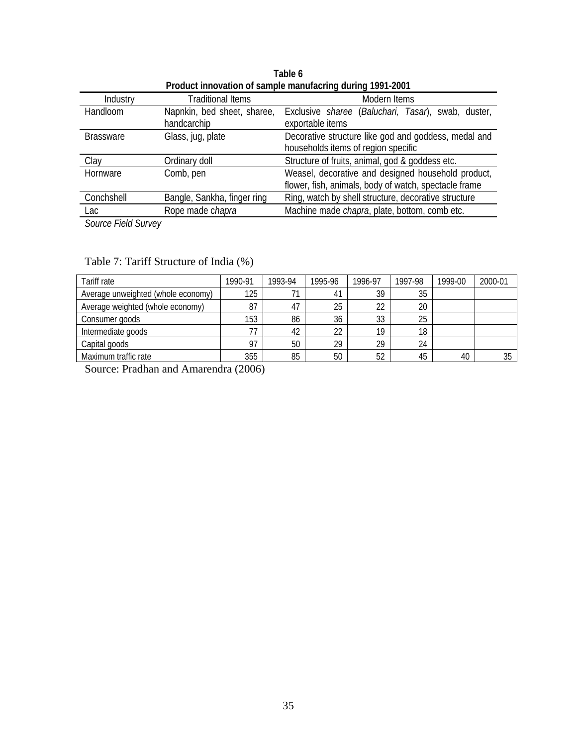| Product innovation of sample manufacring during 1991-2001 |                                            |                                                                                                             |  |  |  |  |  |
|-----------------------------------------------------------|--------------------------------------------|-------------------------------------------------------------------------------------------------------------|--|--|--|--|--|
| Industry                                                  | <b>Traditional Items</b>                   | Modern Items                                                                                                |  |  |  |  |  |
| Handloom                                                  | Napnkin, bed sheet, sharee,<br>handcarchip | Exclusive <i>sharee</i> (Baluchari, Tasar), swab, duster,<br>exportable items                               |  |  |  |  |  |
| <b>Brassware</b>                                          | Glass, jug, plate                          | Decorative structure like god and goddess, medal and<br>households items of region specific                 |  |  |  |  |  |
| Clay                                                      | Ordinary doll                              | Structure of fruits, animal, god & goddess etc.                                                             |  |  |  |  |  |
| Hornware                                                  | Comb, pen                                  | Weasel, decorative and designed household product,<br>flower, fish, animals, body of watch, spectacle frame |  |  |  |  |  |
| Conchshell                                                | Bangle, Sankha, finger ring                | Ring, watch by shell structure, decorative structure                                                        |  |  |  |  |  |
| Lac                                                       | Rope made chapra                           | Machine made <i>chapra</i> , plate, bottom, comb etc.                                                       |  |  |  |  |  |

**Table 6 Product innovation of sample manufacring during 1991-2001** 

*Source Field Survey*

| Tariff rate                        | 1990-91 | 1993-94 | 1995-96 | 1996-97 | 1997-98 | 1999-00 | 2000-01 |
|------------------------------------|---------|---------|---------|---------|---------|---------|---------|
| Average unweighted (whole economy) | 125     |         | 41      | 39      | 35      |         |         |
| Average weighted (whole economy)   | 87      | 47      | 25      | 22      | 20      |         |         |
| Consumer goods                     | 153     | 86      | 36      | 33      | 25      |         |         |
| Intermediate goods                 | 77      | 42      | 22      | 19      | 18      |         |         |
| Capital goods                      | 97      | 50      | 29      | 29      | 24      |         |         |
| Maximum traffic rate               | 355     | 85      | 50      | 52      | 45      | 40      | 35      |

## Table 7: Tariff Structure of India (%)

Source: Pradhan and Amarendra (2006)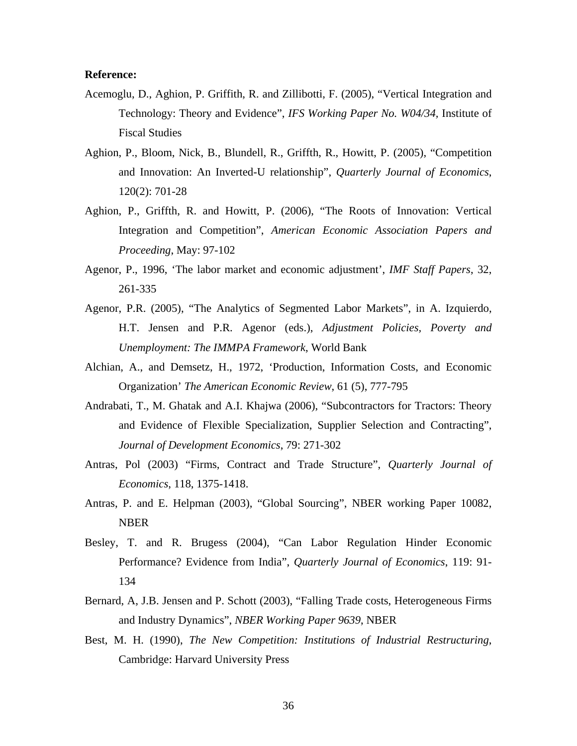### **Reference:**

- Acemoglu, D., Aghion, P. Griffith, R. and Zillibotti, F. (2005), "Vertical Integration and Technology: Theory and Evidence", *IFS Working Paper No. W04/34,* Institute of Fiscal Studies
- Aghion, P., Bloom, Nick, B., Blundell, R., Griffth, R., Howitt, P. (2005), "Competition and Innovation: An Inverted-U relationship", *Quarterly Journal of Economics*, 120(2): 701-28
- Aghion, P., Griffth, R. and Howitt, P. (2006), "The Roots of Innovation: Vertical Integration and Competition", *American Economic Association Papers and Proceeding*, May: 97-102
- Agenor, P., 1996, 'The labor market and economic adjustment', *IMF Staff Papers*, 32, 261-335
- Agenor, P.R. (2005), "The Analytics of Segmented Labor Markets", in A. Izquierdo, H.T. Jensen and P.R. Agenor (eds.), *Adjustment Policies, Poverty and Unemployment: The IMMPA Framework*, World Bank
- Alchian, A., and Demsetz, H., 1972, 'Production, Information Costs, and Economic Organization' *The American Economic Review*, 61 (5), 777-795
- Andrabati, T., M. Ghatak and A.I. Khajwa (2006), "Subcontractors for Tractors: Theory and Evidence of Flexible Specialization, Supplier Selection and Contracting", *Journal of Development Economics*, 79: 271-302
- Antras, Pol (2003) "Firms, Contract and Trade Structure", *Quarterly Journal of Economics*, 118, 1375-1418.
- Antras, P. and E. Helpman (2003), "Global Sourcing", NBER working Paper 10082, NBER
- Besley, T. and R. Brugess (2004), "Can Labor Regulation Hinder Economic Performance? Evidence from India", *Quarterly Journal of Economics*, 119: 91- 134
- Bernard, A, J.B. Jensen and P. Schott (2003), "Falling Trade costs, Heterogeneous Firms and Industry Dynamics", *NBER Working Paper 9639*, NBER
- Best, M. H. (1990), *The New Competition: Institutions of Industrial Restructuring*, Cambridge: Harvard University Press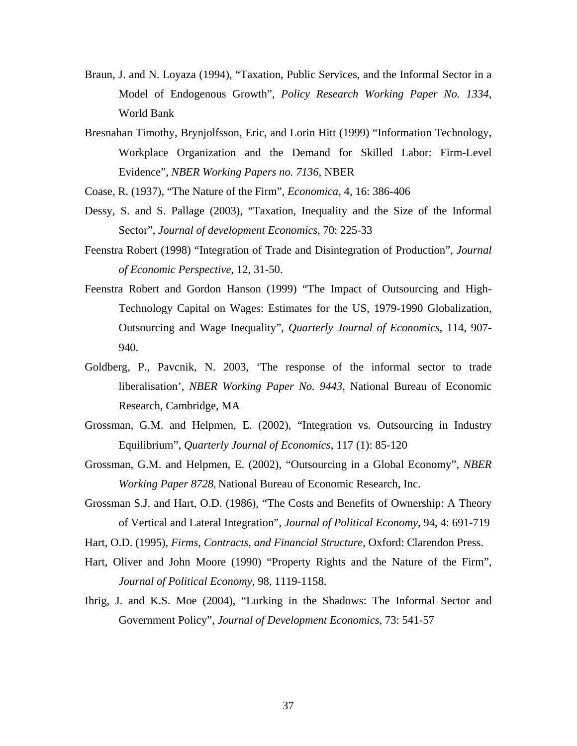- Braun, J. and N. Loyaza (1994), "Taxation, Public Services, and the Informal Sector in a Model of Endogenous Growth", *Policy Research Working Paper No. 1334*, World Bank
- Bresnahan Timothy, Brynjolfsson, Eric, and Lorin Hitt (1999) "Information Technology, Workplace Organization and the Demand for Skilled Labor: Firm-Level Evidence", *NBER Working Papers no. 7136*, NBER
- Coase, R. (1937), "The Nature of the Firm", *Economica*, 4, 16: 386-406
- Dessy, S. and S. Pallage (2003), "Taxation, Inequality and the Size of the Informal Sector", *Journal of development Economics*, 70: 225-33
- Feenstra Robert (1998) "Integration of Trade and Disintegration of Production", *Journal of Economic Perspective*, 12, 31-50.
- Feenstra Robert and Gordon Hanson (1999) "The Impact of Outsourcing and High-Technology Capital on Wages: Estimates for the US, 1979-1990 Globalization, Outsourcing and Wage Inequality", *Quarterly Journal of Economics*, 114, 907- 940.
- Goldberg, P., Pavcnik, N. 2003, 'The response of the informal sector to trade liberalisation', *NBER Working Paper No. 9443,* National Bureau of Economic Research, Cambridge, MA
- Grossman, G.M. and Helpmen, E. (2002), "Integration vs. Outsourcing in Industry Equilibrium", *Quarterly Journal of Economics*, 117 (1): 85-120
- Grossman, G.M. and Helpmen, E. (2002), "Outsourcing in a Global Economy", *NBER Working Paper 8728*, National Bureau of Economic Research, Inc.
- Grossman S.J. and Hart, O.D. (1986), "The Costs and Benefits of Ownership: A Theory of Vertical and Lateral Integration", *Journal of Political Economy*, 94, 4: 691-719
- Hart, O.D. (1995), *Firms, Contracts, and Financial Structure*, Oxford: Clarendon Press.
- Hart, Oliver and John Moore (1990) "Property Rights and the Nature of the Firm", *Journal of Political Economy*, 98, 1119-1158.
- Ihrig, J. and K.S. Moe (2004), "Lurking in the Shadows: The Informal Sector and Government Policy", *Journal of Development Economics*, 73: 541-57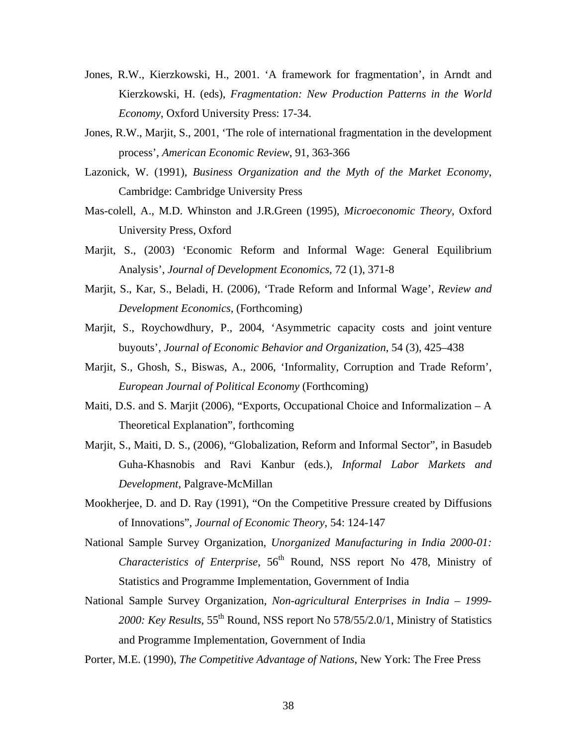- Jones, R.W., Kierzkowski, H., 2001. 'A framework for fragmentation', in Arndt and Kierzkowski, H. (eds), *Fragmentation: New Production Patterns in the World Economy*, Oxford University Press: 17-34.
- Jones, R.W., Marjit, S., 2001, 'The role of international fragmentation in the development process', *American Economic Review*, 91, 363-366
- Lazonick, W. (1991), *Business Organization and the Myth of the Market Economy*, Cambridge: Cambridge University Press
- Mas-colell, A., M.D. Whinston and J.R.Green (1995), *Microeconomic Theory*, Oxford University Press, Oxford
- Marjit, S., (2003) 'Economic Reform and Informal Wage: General Equilibrium Analysis', *Journal of Development Economics*, 72 (1), 371-8
- Marjit, S., Kar, S., Beladi, H. (2006), 'Trade Reform and Informal Wage', *Review and Development Economics,* (Forthcoming)
- Marjit, S., Roychowdhury, P., 2004, 'Asymmetric capacity costs and joint venture buyouts', *Journal of Economic Behavior and Organization*, 54 (3), 425–438
- Marjit, S., Ghosh, S., Biswas, A., 2006, 'Informality, Corruption and Trade Reform', *European Journal of Political Economy* (Forthcoming)
- Maiti, D.S. and S. Marjit (2006), "Exports, Occupational Choice and Informalization A Theoretical Explanation", forthcoming
- Marjit, S., Maiti, D. S., (2006), "Globalization, Reform and Informal Sector", in Basudeb Guha-Khasnobis and Ravi Kanbur (eds.), *Informal Labor Markets and Development*, Palgrave-McMillan
- Mookherjee, D. and D. Ray (1991), "On the Competitive Pressure created by Diffusions of Innovations", *Journal of Economic Theory*, 54: 124-147
- National Sample Survey Organization, *Unorganized Manufacturing in India 2000-01: Characteristics of Enterprise*, 56<sup>th</sup> Round, NSS report No 478, Ministry of Statistics and Programme Implementation, Government of India
- National Sample Survey Organization, *Non-agricultural Enterprises in India 1999- 2000: Key Results*, 55th Round, NSS report No 578/55/2.0/1, Ministry of Statistics and Programme Implementation, Government of India

Porter, M.E. (1990), *The Competitive Advantage of Nations*, New York: The Free Press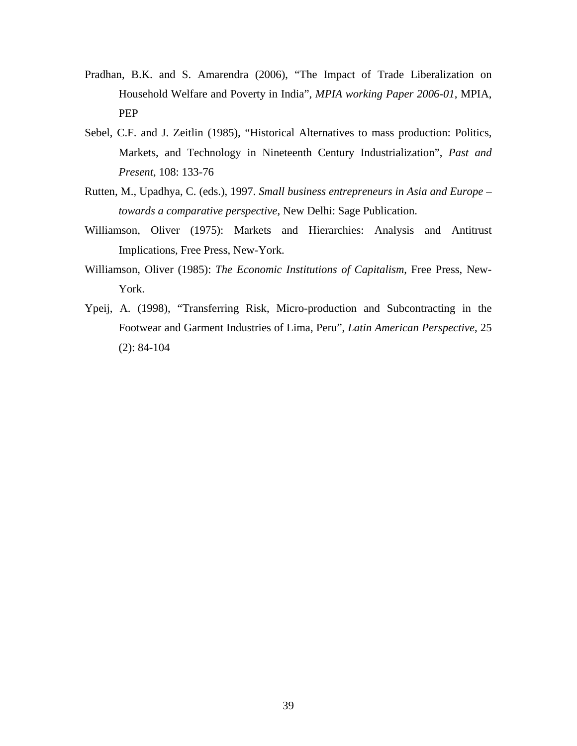- Pradhan, B.K. and S. Amarendra (2006), "The Impact of Trade Liberalization on Household Welfare and Poverty in India", *MPIA working Paper 2006-01*, MPIA, PEP
- Sebel, C.F. and J. Zeitlin (1985), "Historical Alternatives to mass production: Politics, Markets, and Technology in Nineteenth Century Industrialization", *Past and Present*, 108: 133-76
- Rutten, M., Upadhya, C. (eds.), 1997. *Small business entrepreneurs in Asia and Europe towards a comparative perspective*, New Delhi: Sage Publication.
- Williamson, Oliver (1975): Markets and Hierarchies: Analysis and Antitrust Implications, Free Press, New-York.
- Williamson, Oliver (1985): *The Economic Institutions of Capitalism*, Free Press, New-York.
- Ypeij, A. (1998), "Transferring Risk, Micro-production and Subcontracting in the Footwear and Garment Industries of Lima, Peru", *Latin American Perspective*, 25 (2): 84-104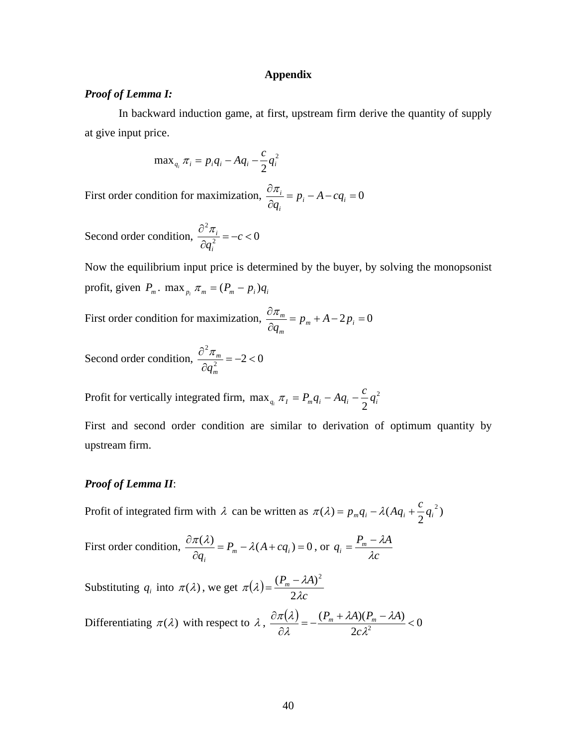#### **Appendix**

### *Proof of Lemma I:*

In backward induction game, at first, upstream firm derive the quantity of supply at give input price.

$$
\max_{q_i} \pi_i = p_i q_i - A q_i - \frac{c}{2} q_i^2
$$

First order condition for maximization,  $\frac{\partial h_i}{\partial t} = p_i - A - cq_i = 0$ ∂ ∂  $\mathbf{u}$  *i*  $\mathbf{u}_i$ *i*  $\frac{i}{p} = p_i - A - cq$ *q* π

Second order condition,  $\frac{\partial R_i}{\partial a^2} = -c < 0$ 2  $=-c$  < ∂  $\frac{\partial^2 \pi_i}{\partial x_i^2} = -c$ *qi*  $\pi_{_i}$ 

Now the equilibrium input price is determined by the buyer, by solving the monopsonist profit, given  $P_m$ .  $\max_{p_i} \pi_m = (P_m - p_i)q_i$ 

First order condition for maximization,  $\frac{W_n}{2} = p_m + A - 2p_i = 0$ ∂ ∂  $m$ <sup>*i*</sup> *i***1**  $\leq P_i$ *m*  $\frac{m}{p} = p_m + A - 2p$ *q* π

Second order condition,  $\frac{6}{\pi} \frac{h_m}{a} = -2 < 0$ 2  $=-2$  < ∂ ∂ *m m q* π

Profit for vertically integrated firm, max<sub>a</sub>  $\pi_l = P_m q_i - A q_i - \frac{c}{3} q_i^2$  $\max_{q_i} \pi_I = P_m q_i - A q_i - \frac{c}{2} q_i^2$ 

First and second order condition are similar to derivation of optimum quantity by upstream firm.

### *Proof of Lemma II*:

Profit of integrated firm with  $\lambda$  can be written as  $\pi(\lambda) = p_m q_i - \lambda (Aq_i + \frac{c}{2}q_i^2)$ 

First order condition,  $\frac{\partial \pi(\lambda)}{\partial q_i} = P_m - \lambda(A + cq_i) = 0$  $_m$   $-\pi$ ( $\pi$   $\tau$   $\epsilon$  $q_i$ *i*  $P_m - \lambda(A + cq)$ *q*  $\frac{\pi(\lambda)}{2} = P_m - \lambda(A + cq_i) = 0$ , or *c*  $q_i = \frac{P_m - \lambda A}{\lambda c}$ 

Substituting  $q_i$  into  $\pi(\lambda)$ , we get  $\pi(\lambda) = \frac{\lambda m}{2\lambda c}$  $P_m - \lambda A$ λ  $\pi(\lambda) = \frac{(P_m - \lambda)}{n}$ 2  $=\frac{(P_m - \lambda A)^2}{2m}$ 

Differentiating  $\pi(\lambda)$  with respect to  $\lambda$ ,  $\frac{\partial \pi(\lambda)}{\partial \lambda} = -\frac{(P_m + \lambda A)(P_m - \lambda A)}{P_m(\lambda)} < 0$ 2  $\frac{\partial \pi(\lambda)}{\partial \lambda} = -\frac{(P_m + \lambda A)(P_m - \lambda A)}{2c\lambda^2} <$ λ  $\lambda A$ )( $P_- - \lambda A$ λ  $\pi(\lambda)$ *c*  $P_m + \lambda A (P_m - \lambda A)$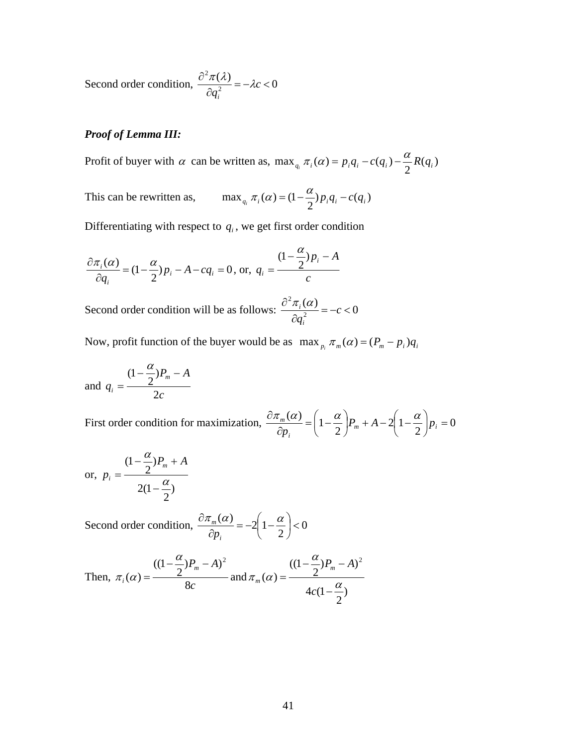Second order condition,  $\frac{\partial^2 \pi(\lambda)}{\partial \alpha^2} = -\lambda c < 0$ 2  $=-\lambda c <$ ∂  $\frac{\partial^2 \pi(\lambda)}{\partial x^2} = -\lambda c$ *qi*  $\frac{\pi(\lambda)}{n} = -\lambda$ 

### *Proof of Lemma III:*

Profit of buyer with  $\alpha$  can be written as,  $\max_{q_i} \pi_i(\alpha) = p_i q_i - c(q_i) - \frac{\alpha}{2} R(q_i)$ 

This can be rewritten as,  $\max_{q_i} \pi_i(\alpha) = (1 - \frac{\alpha}{2}) p_i q_i - c(q_i)$ 

Differentiating with respect to  $q_i$ , we get first order condition

$$
\frac{\partial \pi_i(\alpha)}{\partial q_i} = (1 - \frac{\alpha}{2})p_i - A - cq_i = 0, \text{ or, } q_i = \frac{(1 - \frac{\alpha}{2})p_i - A}{c}
$$

Second order condition will be as follows:  $\frac{\partial^2 \pi_i(\alpha)}{\partial \alpha^2} = -c < 0$ 2  $=-c$  < ∂  $\frac{\partial^2 \pi_i(\alpha)}{\partial x^2} = -c$ *qi*  $\pi_i(\alpha)$ 

Now, profit function of the buyer would be as  $\max_{p_i} \pi_m(\alpha) = (P_m - p_i)q_i$ 

and 
$$
q_i = \frac{(1 - \frac{\alpha}{2})P_m - A}{2c}
$$

First order condition for maximization,  $\frac{X_{m}(\alpha)}{2} = |1 - \frac{\alpha}{2}|P_{m} + A - 2|1 - \frac{\alpha}{2}|P_{i} = 0$ 2  $2\vert 1$  $\frac{(\alpha)}{P_i} = \left(1 - \frac{\alpha}{2}\right) P_m + A - 2\left(1 - \frac{\alpha}{2}\right) p_i =$  $\left(1-\frac{\alpha}{2}\right)P_m + A - 2\left(1-\frac{\alpha}{2}\right)$  $\frac{\partial \pi_m(\alpha)}{\partial p_i} = \left(1 - \frac{\alpha_i}{\sigma_i}\right)$  $m \tau A - 2 | I - \frac{1}{2} | P_i$ *i*  $\frac{m}{2}$  =  $1-\frac{\alpha}{2}$   $\left|P_m+A-2\right|1-\frac{\alpha}{2}$   $\left|P_m\right|$ *p*  $\pi_+(\alpha)$   $\alpha$   $\alpha$ 

or, 
$$
p_i = \frac{(1 - \frac{\alpha}{2})P_m + A}{2(1 - \frac{\alpha}{2})}
$$

Second order condition,  $\frac{partial u_m(\alpha)}{2} = -2 \left| 1 - \frac{\alpha}{2} \right| < 0$ 2  $\frac{(\alpha)}{(\alpha)} = -2\left(1 - \frac{\alpha}{2}\right) <$ ⎠  $\left(1-\frac{\alpha}{2}\right)$  $\frac{\partial \pi_m(\alpha)}{\partial p_i} = -2\left(1 - \frac{\alpha}{2}\right)$ *i m p*

Then, 
$$
\pi_i(\alpha) = \frac{((1 - \frac{\alpha}{2})P_m - A)^2}{8c}
$$
 and  $\pi_m(\alpha) = \frac{((1 - \frac{\alpha}{2})P_m - A)^2}{4c(1 - \frac{\alpha}{2})}$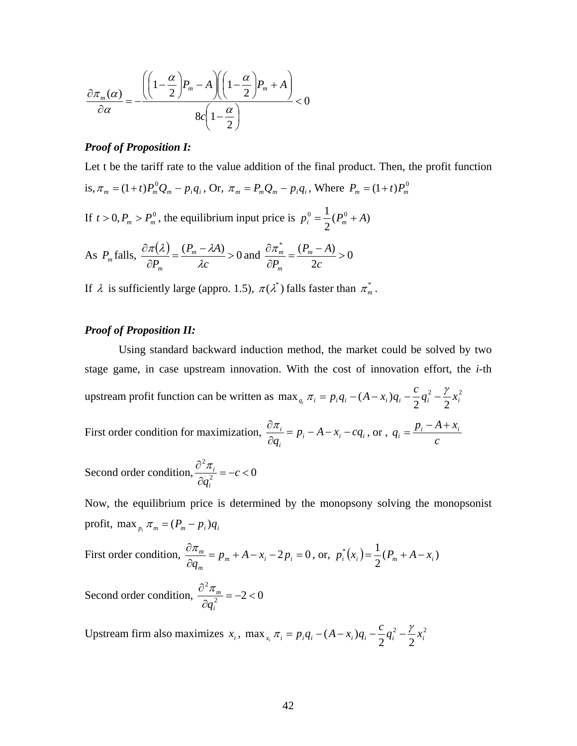$$
\frac{\partial \pi_m(\alpha)}{\partial \alpha} = -\frac{\left( \left(1 - \frac{\alpha}{2}\right) P_m - A \right) \left(1 - \frac{\alpha}{2}\right) P_m + A}{8c \left(1 - \frac{\alpha}{2}\right)} < 0
$$

### *Proof of Proposition I:*

Let t be the tariff rate to the value addition of the final product. Then, the profit function is,  $\pi_m = (1+t)P_m^0 Q_m - p_i q_i$ , Or,  $\pi_m = P_m Q_m - p_i q_i$ , Where  $P_m = (1+t)P_m^0$ 

If  $t > 0, P_m > P_m^0$ , the equilibrium input price is  $p_i^0 = \frac{1}{2}(P_m^0 + A)$ 

As 
$$
P_m
$$
 falls,  $\frac{\partial \pi(\lambda)}{\partial P_m} = \frac{(P_m - \lambda A)}{\lambda c} > 0$  and  $\frac{\partial \pi_m^*}{\partial P_m} = \frac{(P_m - A)}{2c} > 0$ 

If  $\lambda$  is sufficiently large (appro. 1.5),  $\pi(\lambda^*)$  falls faster than  $\pi_m^*$ .

### *Proof of Proposition II:*

Using standard backward induction method, the market could be solved by two stage game, in case upstream innovation. With the cost of innovation effort, the *i*-th upstream profit function can be written as  $\max_{a} \pi_i = p_i q_i - (A - x_i) q_i - \frac{c}{\pi} q_i^2 - \frac{y_i}{\pi} x_i^2$  $\max_{q_i} \pi_i = p_i q_i - (A - x_i)q_i - \frac{c}{2}q_i^2 - \frac{\gamma}{2}x_i^2$ First order condition for maximization,  $\frac{\partial R_i}{\partial x} = p_i - A - x_i - c q_i$ *i*  $\frac{\partial \pi_i}{\partial q_i} = p_i - A - x_i - cq_i$ , or, *c*  $q_i = \frac{p_i - A + x_i}{q_i}$ Second order condition,  $\frac{\partial u_i}{\partial q^2} = -c < 0$ 2  $=-c$  < ∂  $\frac{\partial^2 \pi_i}{\partial x_i^2} = -c$ *qi*  $\pi_{_i}$ 

Now, the equilibrium price is determined by the monopsony solving the monopsonist profit,  $\max_{p_i} \pi_m = (P_m - p_i)q_i$ 

First order condition,  $\frac{6\lambda_m}{2} = p_m + A - x_i - 2p_i = 0$ ∂ ∂ *m i i m*  $\frac{m}{p} = p_m + A - x_i - 2p$ *q*  $rac{\pi_m}{q_m} = p_m + A - x_i - 2p_i = 0$ , or,  $p_i^*(x_i) = \frac{1}{2}(P_m + A - x_i)$ 

Second order condition,  $\frac{6}{\omega_{m}} = -2 < 0$ 2  $=-2$  < ∂  $\widehat{\partial}^{\,2}\pi_{{}_m}$ *i q* π

Upstream firm also maximizes  $x_i$ , max<sub>x<sub>i</sub></sub>  $\pi_i = p_i q_i - (A - x_i)q_i - \frac{c}{2}q_i^2 - \frac{\gamma}{2}x_i^2$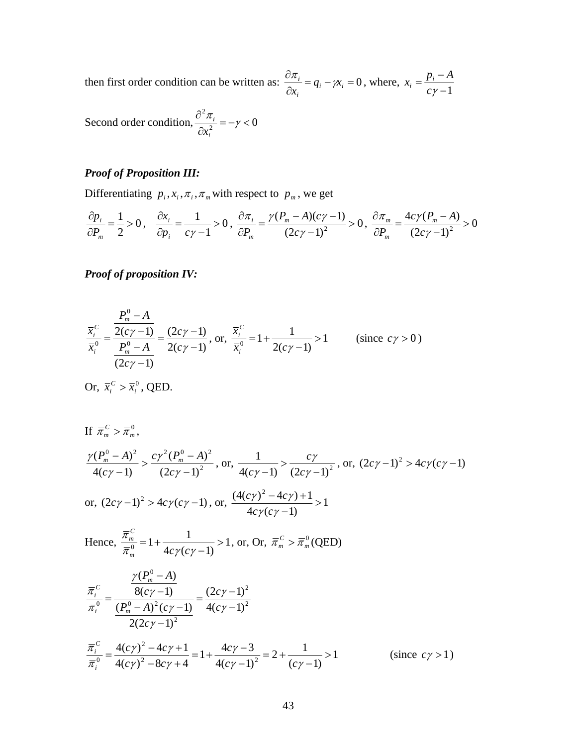then first order condition can be written as:  $\frac{\partial u_i}{\partial t} = q_i - \gamma x_i = 0$ ∂ ∂  $i - \mu_i$ *i*  $\frac{i}{r} = q_i - \gamma x$  $\frac{\pi_i}{\alpha_i} = q_i - \gamma \chi_i = 0$ , where,  $\chi_i = \frac{p_i - A}{c\gamma - 1}$ 

Second order condition,  $\frac{\partial u_i}{\partial x^2} = -\gamma < 0$ 2  $=-\gamma <$ ∂ ∂  $\frac{\pi_i}{2} = -\gamma$ *i i x*

### *Proof of Proposition III:*

Differentiating  $p_i, x_i, \pi_i, \pi_m$  with respect to  $p_m$ , we get

$$
\frac{\partial p_i}{\partial P_m} = \frac{1}{2} > 0, \quad \frac{\partial x_i}{\partial p_i} = \frac{1}{c\gamma - 1} > 0, \quad \frac{\partial \pi_i}{\partial P_m} = \frac{\gamma (P_m - A)(c\gamma - 1)}{(2c\gamma - 1)^2} > 0, \quad \frac{\partial \pi_m}{\partial P_m} = \frac{4c\gamma (P_m - A)}{(2c\gamma - 1)^2} > 0
$$

*Proof of proposition IV:* 

$$
\frac{\overline{x}_{i}^{C}}{\overline{x}_{i}^{0}} = \frac{\frac{P_{m}^{0} - A}{2(c\gamma - 1)}}{\frac{P_{m}^{0} - A}{(2c\gamma - 1)}} = \frac{(2c\gamma - 1)}{2(c\gamma - 1)}, \text{ or, } \frac{\overline{x}_{i}^{C}}{\overline{x}_{i}^{0}} = 1 + \frac{1}{2(c\gamma - 1)} > 1 \qquad \text{(since } c\gamma > 0\text{)}
$$

Or,  $\overline{x}_i^C > \overline{x}_i^0$  $\overline{x}_i^C > \overline{x}_i^0$ , QED.

If 
$$
\overline{\pi}_m^C > \overline{\pi}_m^0
$$
,  
\n
$$
\frac{\gamma(P_m^0 - A)^2}{4(c\gamma - 1)} > \frac{c\gamma^2(P_m^0 - A)^2}{(2c\gamma - 1)^2}
$$
, or,  $\frac{1}{4(c\gamma - 1)} > \frac{c\gamma}{(2c\gamma - 1)^2}$ , or,  $(2c\gamma - 1)^2 > 4c\gamma(c\gamma - 1)$   
\nor,  $(2c\gamma - 1)^2 > 4c\gamma(c\gamma - 1)$ , or,  $\frac{(4(c\gamma)^2 - 4c\gamma) + 1}{4c\gamma(c\gamma - 1)} > 1$   
\nHence,  $\frac{\overline{\pi}_m^C}{\overline{\pi}_m^0} = 1 + \frac{1}{4c\gamma(c\gamma - 1)} > 1$ , or, Or,  $\overline{\pi}_m^C > \overline{\pi}_m^0$  (QED)  
\n
$$
\frac{\overline{\pi}_c^C}{\overline{\pi}_i^0} = \frac{\frac{\gamma(P_m^0 - A)}{8(c\gamma - 1)}}{\frac{8(c\gamma - 1)}{2(2c\gamma - 1)^2}} = \frac{(2c\gamma - 1)^2}{4(c\gamma - 1)^2}
$$
\n
$$
\frac{\overline{\pi}_i^C}{\overline{\pi}_i^0} = \frac{4(c\gamma)^2 - 4c\gamma + 1}{4(c\gamma)^2 - 8c\gamma + 4} = 1 + \frac{4c\gamma - 3}{4(c\gamma - 1)^2} = 2 + \frac{1}{(c\gamma - 1)} > 1
$$
 (since  $c\gamma > 1$ )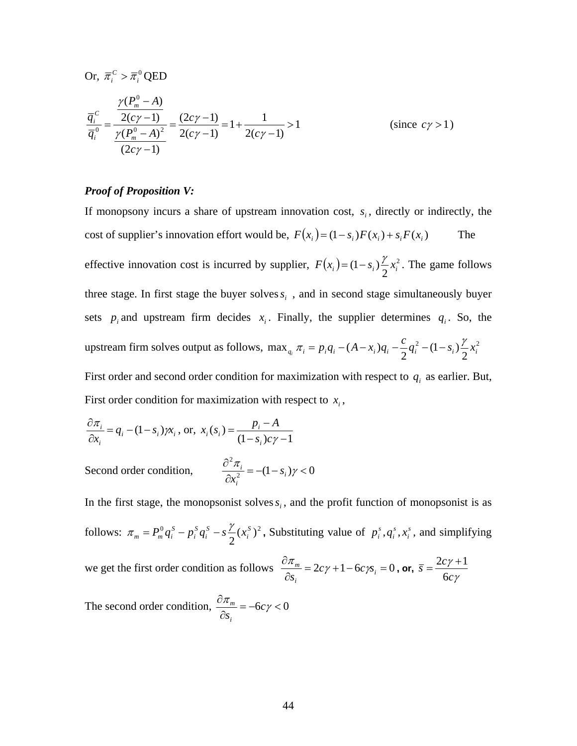Or, 
$$
\overline{\pi}_i^C > \overline{\pi}_i^0
$$
 QED

$$
\frac{\overline{q}_{i}^{c}}{\overline{q}_{i}^{0}} = \frac{\frac{\gamma(P_{m}^{0} - A)}{2(c\gamma - 1)}}{\frac{\gamma(P_{m}^{0} - A)^{2}}{(2c\gamma - 1)}} = \frac{(2c\gamma - 1)}{2(c\gamma - 1)} = 1 + \frac{1}{2(c\gamma - 1)} > 1
$$
\n(since  $c\gamma > 1$ )

### *Proof of Proposition V:*

If monopsony incurs a share of upstream innovation cost,  $s_i$ , directly or indirectly, the cost of supplier's innovation effort would be,  $F(x_i) = (1 - s_i)F(x_i) + s_iF(x_i)$  The effective innovation cost is incurred by supplier,  $F(x_i) = (1 - s_i) \frac{\gamma}{2} x_i^2$ . The game follows three stage. In first stage the buyer solves  $s_i$ , and in second stage simultaneously buyer sets  $p_i$  and upstream firm decides  $x_i$ . Finally, the supplier determines  $q_i$ . So, the upstream firm solves output as follows, max<sub>q<sub>i</sub></sub>  $\pi_i = p_i q_i - (A - x_i)q_i - \frac{c}{2}q_i^2 - (1 - s_i)\frac{\gamma}{2}x_i^2$ First order and second order condition for maximization with respect to  $q_i$  as earlier. But,

First order condition for maximization with respect to  $x_i$ ,

$$
\frac{\partial \pi_i}{\partial x_i} = q_i - (1 - s_i) \gamma x_i, \text{ or, } x_i(s_i) = \frac{p_i - A}{(1 - s_i)c\gamma - 1}
$$

Second order condition,  $\frac{\partial u_i}{\partial x^2} = -(1 - s_i) \gamma < 0$ 2  $= -(1 - s_i) \gamma <$ ∂ ∂  $\frac{\pi_i}{2} = -(1 - s_i)\gamma$ *i i*  $\frac{n_i}{x_i^2} = -(1 - s_i) \gamma < 0$ 

In the first stage, the monopsonist solves  $s_i$ , and the profit function of monopsonist is as follows:  $\pi_m = P_m^0 q_i^S - p_i^S q_i^S - s \frac{\gamma}{2} (x_i^S)^2$ *i S i S i*  $\pi_m = P_m^0 q_i^S - p_i^S q_i^S - s \frac{\gamma}{2} (x_i^S)^2$ , Substituting value of  $p_i^S, q_i^S, x_i^S$ *s i*  $p_i^s$ ,  $q_i^s$ ,  $x_i^s$ , and simplifying we get the first order condition as follows  $\frac{6\pi}{1}$  = 2cy +1−6cys; = 0 ∂ ∂ *i i*  $\frac{m}{2} = 2c\gamma + 1 - 6c\gamma s$  $\frac{\pi_m}{\beta_{s_i}} = 2c\gamma + 1 - 6c\gamma_{s_i} = 0$ , or, γ γ *c*  $\overline{s} = \frac{2c}{\overline{s}}$ 6  $=\frac{2c\gamma+1}{2}$ 

The second order condition,  $\frac{6\pi}{2} = -6c\gamma < 0$ ∂ ∂  $\frac{\pi_m}{2} = -6c\gamma$ *si m*